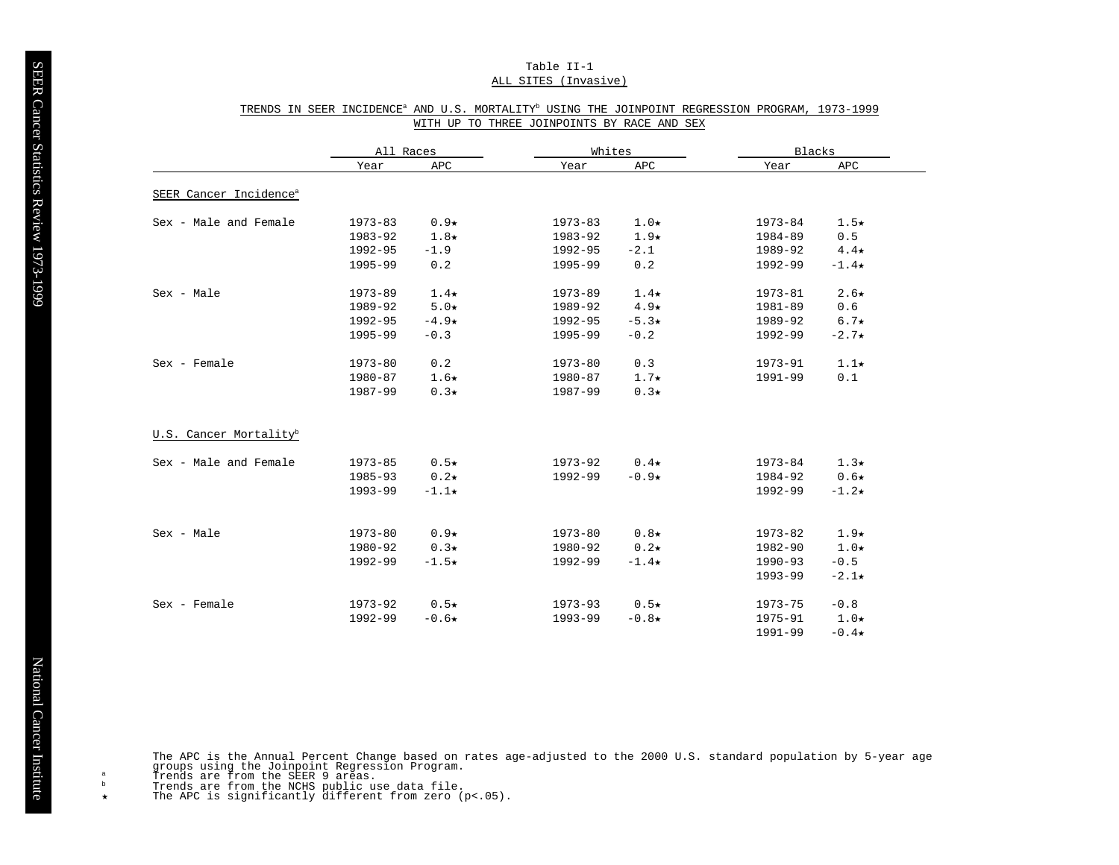# Table II-1 ALL SITES (Invasive)

|                                    | All Races   |             | Whites      |             | Blacks      |             |
|------------------------------------|-------------|-------------|-------------|-------------|-------------|-------------|
|                                    | Year        | APC         | Year        | APC         | Year        | APC         |
| SEER Cancer Incidence <sup>a</sup> |             |             |             |             |             |             |
| Sex - Male and Female              | $1973 - 83$ | $0.9*$      | $1973 - 83$ | $1.0\star$  | 1973-84     | $1.5\star$  |
|                                    | 1983-92     | $1.8\star$  | 1983-92     | $1.9\star$  | 1984-89     | 0.5         |
|                                    | 1992-95     | $-1.9$      | 1992-95     | $-2.1$      | 1989-92     | $4.4\star$  |
|                                    | 1995-99     | 0.2         | 1995-99     | 0.2         | 1992-99     | $-1.4\star$ |
| Sex - Male                         | $1973 - 89$ | $1.4\star$  | $1973 - 89$ | $1.4\star$  | 1973-81     | $2.6\star$  |
|                                    | 1989-92     | $5.0*$      | 1989-92     | $4.9\star$  | 1981-89     | 0.6         |
|                                    | 1992-95     | $-4.9\star$ | 1992-95     | $-5.3*$     | 1989-92     | $6.7\star$  |
|                                    | 1995-99     | $-0.3$      | 1995-99     | $-0.2$      | 1992-99     | $-2.7\star$ |
| Sex - Female                       | $1973 - 80$ | 0.2         | $1973 - 80$ | 0.3         | 1973-91     | $1.1\star$  |
|                                    | 1980-87     | $1.6\star$  | 1980-87     | $1.7\star$  | 1991-99     | 0.1         |
|                                    | 1987-99     | $0.3\star$  | 1987-99     | $0.3\star$  |             |             |
| U.S. Cancer Mortality <sup>b</sup> |             |             |             |             |             |             |
| Sex - Male and Female              | $1973 - 85$ | $0.5\star$  | 1973-92     | $0.4\star$  | $1973 - 84$ | $1.3\star$  |
|                                    | 1985-93     | $0.2\star$  | 1992-99     | $-0.9*$     | 1984-92     | $0.6\star$  |
|                                    | 1993-99     | $-1.1\star$ |             |             | 1992-99     | $-1.2\star$ |
| Sex - Male                         | $1973 - 80$ | $0.9*$      | $1973 - 80$ | $0.8\star$  | 1973-82     | $1.9\star$  |
|                                    | 1980-92     | $0.3\star$  | 1980-92     | $0.2\star$  | 1982-90     | $1.0\star$  |
|                                    |             |             |             |             |             |             |
|                                    | 1992-99     | $-1.5\star$ | 1992-99     | $-1.4\star$ | $1990 - 93$ | $-0.5$      |
|                                    |             |             |             |             | 1993-99     | $-2.1\star$ |
| Sex - Female                       | 1973-92     | $0.5\star$  | 1973-93     | $0.5\star$  | 1973-75     | $-0.8$      |
|                                    | 1992-99     | $-0.6*$     | 1993-99     | $-0.8*$     | 1975-91     | $1.0\star$  |
|                                    |             |             |             |             | $1991 - 99$ | $-0.4\star$ |

# TRENDS IN SEER INCIDENCE<sup>a</sup> AND U.S. MORTALITY<sup>b</sup> USING THE JOINPOINT REGRESSION PROGRAM, 1973-1999 WITH UP TO THREE JOINPOINTS BY RACE AND SEX

The APC is the Annual Percent Change based on rates age-adjusted to the 2000 U.S. standard population by 5-year age<br>groups using the Joinpoint Regression Program.<br>Trends are from the SEER 9 areas.

 $\mathbf{a}$  $_{\rm b}$ 

Trends are from the NCHS public use data file.<br>The APC is significantly different from zero (p<.05).  $\star$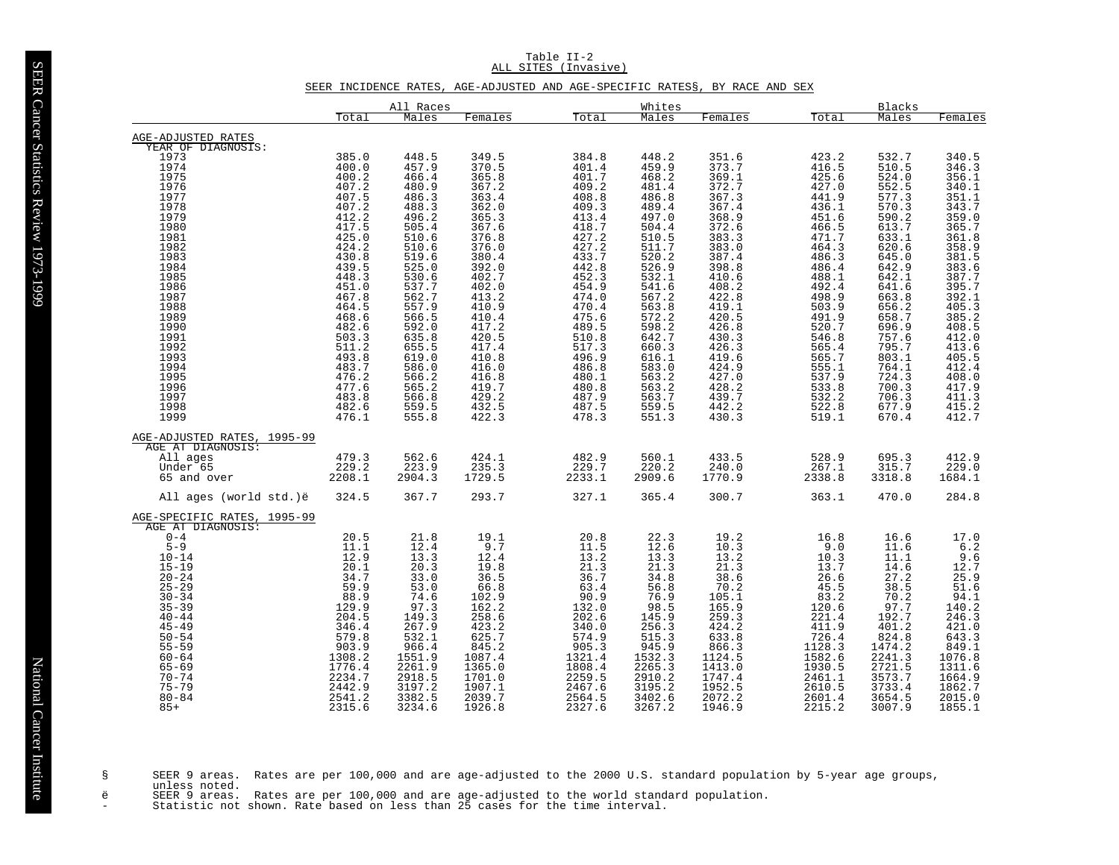# SEER INCIDENCE RATES, AGE-ADJUSTED AND AGE-SPECIFIC RATES§, BY RACE AND SEX

|                                                                                                                                                                                                                                                                                 |                                                                                                                                                                            | All Races                                                                                                                                                          |                                                                                                                                                                      |                                                                                                                                                               | Whites                                                                                                                                                                         |                                                                                                                                                                           |                                                                                                                                                               | Blacks                                                                                                                                                          |                                                                                                                                                                                  |
|---------------------------------------------------------------------------------------------------------------------------------------------------------------------------------------------------------------------------------------------------------------------------------|----------------------------------------------------------------------------------------------------------------------------------------------------------------------------|--------------------------------------------------------------------------------------------------------------------------------------------------------------------|----------------------------------------------------------------------------------------------------------------------------------------------------------------------|---------------------------------------------------------------------------------------------------------------------------------------------------------------|--------------------------------------------------------------------------------------------------------------------------------------------------------------------------------|---------------------------------------------------------------------------------------------------------------------------------------------------------------------------|---------------------------------------------------------------------------------------------------------------------------------------------------------------|-----------------------------------------------------------------------------------------------------------------------------------------------------------------|----------------------------------------------------------------------------------------------------------------------------------------------------------------------------------|
|                                                                                                                                                                                                                                                                                 | Total                                                                                                                                                                      | Males                                                                                                                                                              | Females                                                                                                                                                              | Total                                                                                                                                                         | Males                                                                                                                                                                          | Females                                                                                                                                                                   | Total                                                                                                                                                         | Males                                                                                                                                                           | Females                                                                                                                                                                          |
| AGE-ADJUSTED RATES                                                                                                                                                                                                                                                              |                                                                                                                                                                            |                                                                                                                                                                    |                                                                                                                                                                      |                                                                                                                                                               |                                                                                                                                                                                |                                                                                                                                                                           |                                                                                                                                                               |                                                                                                                                                                 |                                                                                                                                                                                  |
| YEAR OF DIAGNOSIS:<br>1973<br>1974<br>1975<br>1976<br>$1977$<br>$1978$<br>1979<br>1980<br>1981<br>1982                                                                                                                                                                          | 385.0<br>400.0<br>$\frac{400.2}{407.2}$<br>407.5<br>407.2<br>412.2<br>417.5<br>$425.0$<br>$424.2$                                                                          | 448.5<br>457.9<br>466.4<br>480.9<br>486.3<br>488.3<br>496.2<br>505.4<br>510.6<br>510.6                                                                             | 349.5<br>370.5<br>365.8<br>367.2<br>363.4<br>362.0<br>365.3<br>367.6<br>376.8<br>376.0                                                                               | 384.8<br>401.4<br>$401.7$<br>$409.2$<br>408.8<br>409.3<br>413.4<br>418.7<br>427.2<br>427.2                                                                    | 448.2<br>459.9<br>$468.2$<br>$481.4$<br>486.8<br>489.4<br>497.0<br>504.4<br>510.5<br>511.7                                                                                     | 351.6<br>373.7<br>$369.1$<br>$372.7$<br>367.3<br>367.4<br>368.9<br>372.6<br>383.3<br>383.0                                                                                | 423.2<br>416.5<br>425.6<br>427.0<br>441.9<br>436.1<br>451.6<br>466.5<br>471.7<br>464.3                                                                        | 532.7<br>510.5<br>$\frac{524.0}{552.5}$<br>577.3<br>570.3<br>590.2<br>613.7<br>633.1<br>620.6                                                                   | 340.5<br>$346.3$<br>$356.1$<br>$340.1$<br>$351.1$<br>$343.7$<br>359.0<br>365.7<br>361.8                                                                                          |
| 1983<br>1984<br>1985<br>1986<br>1987<br>1988<br>1989<br>1990<br>1991<br>1992<br>1993<br>1994<br>1995<br>1996<br>1997<br>1998<br>1999                                                                                                                                            | $430.8$<br>$439.5$<br>$448.3$<br>$451.0$<br>467.8<br>464.5<br>468.6<br>482.6<br>$\frac{503.3}{511.2}$<br>$493.8$<br>$483.7$<br>476.2<br>477.6<br>483.8<br>482.6<br>476.1   | 519.6<br>525.0<br>530.6<br>537.7<br>562.7<br>557.9<br>566.5<br>592.0<br>635.8<br>655.5<br>619.0<br>586.0<br>566.2<br>565.2<br>566.8<br>559.5<br>555.8              | 380.4<br>392.0<br>402.7<br>402.0<br>413.2<br>410.9<br>410.4<br>417.2<br>420.5<br>417.4<br>410.8<br>416.0<br>416.8<br>419.7<br>429.2<br>432.5<br>422.3                | 433.7<br>442.8<br>452.3<br>454.9<br>474.0<br>470.4<br>475.6<br>489.5<br>510.8<br>517.3<br>496.9<br>486.8<br>480.1<br>480.8<br>487.9<br>487.5<br>478.3         | 520.2<br>526.9<br>532.1<br>541.6<br>567.2<br>563.8<br>572.2<br>598.2<br>642.7<br>660.3<br>$616.1$<br>583.0<br>563.2<br>563.2<br>563.7<br>559.5<br>551.3                        | 387.4<br>398.8<br>410.6<br>408.2<br>422.8<br>419.1<br>420.5<br>426.8<br>$430.3$<br>$426.3$<br>419.6<br>424.9<br>427.0<br>428.2<br>439.7<br>442.2<br>430.3                 | 486.3<br>486.4<br>488.1<br>492.4<br>498.9<br>503.9<br>491.9<br>520.7<br>546.8<br>565.4<br>565.7<br>555.1<br>537.9<br>533.8<br>532.2<br>522.8<br>519.1         | 645.0<br>642.9<br>642.1<br>641.6<br>663.8<br>656.2<br>658.7<br>$696.9$<br>$757.6$<br>795.7<br>803.1<br>764.1<br>724.3<br>700.3<br>706.3<br>677.9<br>670.4       | 358.9<br>381.5<br>383.6<br>387.7<br>395.7<br>$392.1$<br>$405.3$<br>$385.2$<br>408.5<br>$412.0$<br>$413.6$<br>$405.5$<br>$412.4$<br>408.0<br>417.9<br>$411.3$<br>$415.2$<br>412.7 |
| AGE-ADJUSTED RATES, 1995-99<br>AGE AT DIAGNOSIS:<br>All ages<br>Under 65<br>65 and over                                                                                                                                                                                         | 479.3<br>229.2<br>2208.1                                                                                                                                                   | 562.6<br>223.9<br>2904.3                                                                                                                                           | 424.1<br>235.3<br>1729.5                                                                                                                                             | 482.9<br>229.7<br>2233.1                                                                                                                                      | 560.1<br>220.2<br>2909.6                                                                                                                                                       | 433.5<br>240.0<br>1770.9                                                                                                                                                  | 528.9<br>267.1<br>2338.8                                                                                                                                      | 695.3<br>315.7<br>3318.8                                                                                                                                        | 412.9<br>229.0<br>1684.1                                                                                                                                                         |
| All ages (world std.)ë                                                                                                                                                                                                                                                          | 324.5                                                                                                                                                                      | 367.7                                                                                                                                                              | 293.7                                                                                                                                                                | 327.1                                                                                                                                                         | 365.4                                                                                                                                                                          | 300.7                                                                                                                                                                     | 363.1                                                                                                                                                         | 470.0                                                                                                                                                           | 284.8                                                                                                                                                                            |
| AGE-SPECIFIC RATES,<br>1995-99<br>AGE AT DIAGNOSIS:<br>$0 - 4$<br>$5-9$<br>10-14<br>$15 - 19$<br>$20 - 24$<br>$25 - 29$<br>$30 - 34$<br>$35 - 39$<br>$40 - 44$<br>$45 - 49$<br>$50 - 54$<br>$55 - 59$<br>$60 - 64$<br>$65 - 69$<br>$70 - 74$<br>$75 - 79$<br>$80 - 84$<br>$85+$ | $20.5$<br>$11.1$<br>12.9<br>20.1<br>34.7<br>59.9<br>$88.9$<br>129.9<br>204.5<br>346.4<br>$\frac{579.8}{903.9}$<br>1308.2<br>1776.4<br>2234.7<br>2442.9<br>2541.2<br>2315.6 | $21.8$<br>$12.4$<br>13.3<br>20.3<br>33.0<br>53.0<br>$74.6$<br>97.3<br>149.3<br>267.9<br>532.1<br>966.4<br>1551.9<br>2261.9<br>2918.5<br>3197.2<br>3382.5<br>3234.6 | $\frac{19.1}{9.7}$<br>12.4<br>19.8<br>36.5<br>66.8<br>102.9<br>162.2<br>258.6<br>423.2<br>625.7<br>845.2<br>1087.4<br>1365.0<br>1701.0<br>1907.1<br>2039.7<br>1926.8 | 20.8<br>11.5<br>13.2<br>21.3<br>36.7<br>63.4<br>90.9<br>132.0<br>202.6<br>340.0<br>574.9<br>905.3<br>1321.4<br>1808.4<br>2259.5<br>2467.6<br>2564.5<br>2327.6 | $22.3$<br>$12.6$<br>13.3<br>$\frac{21.3}{34.8}$<br>$\frac{56.8}{76.9}$<br>98.5<br>145.9<br>256.3<br>515.3<br>945.9<br>1532.3<br>2265.3<br>2910.2<br>3195.2<br>3402.6<br>3267.2 | 19.2<br>10.3<br>13.2<br>$\frac{21.3}{38.6}$<br>$70.2$<br>$105.1$<br>165.9<br>259.3<br>424.2<br>633.8<br>866.3<br>1124.5<br>1413.0<br>1747.4<br>1952.5<br>2072.2<br>1946.9 | 16.8<br>9.0<br>10.3<br>13.7<br>26.6<br>45.5<br>83.2<br>120.6<br>221.4<br>411.9<br>726.4<br>1128.3<br>1582.6<br>1930.5<br>2461.1<br>2610.5<br>2601.4<br>2215.2 | 16.6<br>11.6<br>11.1<br>14.6<br>27.2<br>38.5<br>$70.2$<br>97.7<br>192.7<br>401.2<br>824.8<br>1474.2<br>2241.3<br>2721.5<br>3573.7<br>3733.4<br>3654.5<br>3007.9 | $\frac{17.0}{6.2}$<br>$9.6$<br>$12.7$<br>$25.9$<br>$51.6$<br>$94.1$<br>$140.2$<br>$246.3$<br>421.0<br>643.3<br>849.1<br>1076.8<br>1311.6<br>1664.9<br>1862.7<br>2015.0<br>1855.1 |

SEER 9 areas. Rates are per 100,000 and are age-adjusted to the 2000 U.S. standard population by 5-year age groups,<br>unless noted.<br>ë SEER 9 areas. Rates are per 100,000 and are age-adjusted to the world standard population.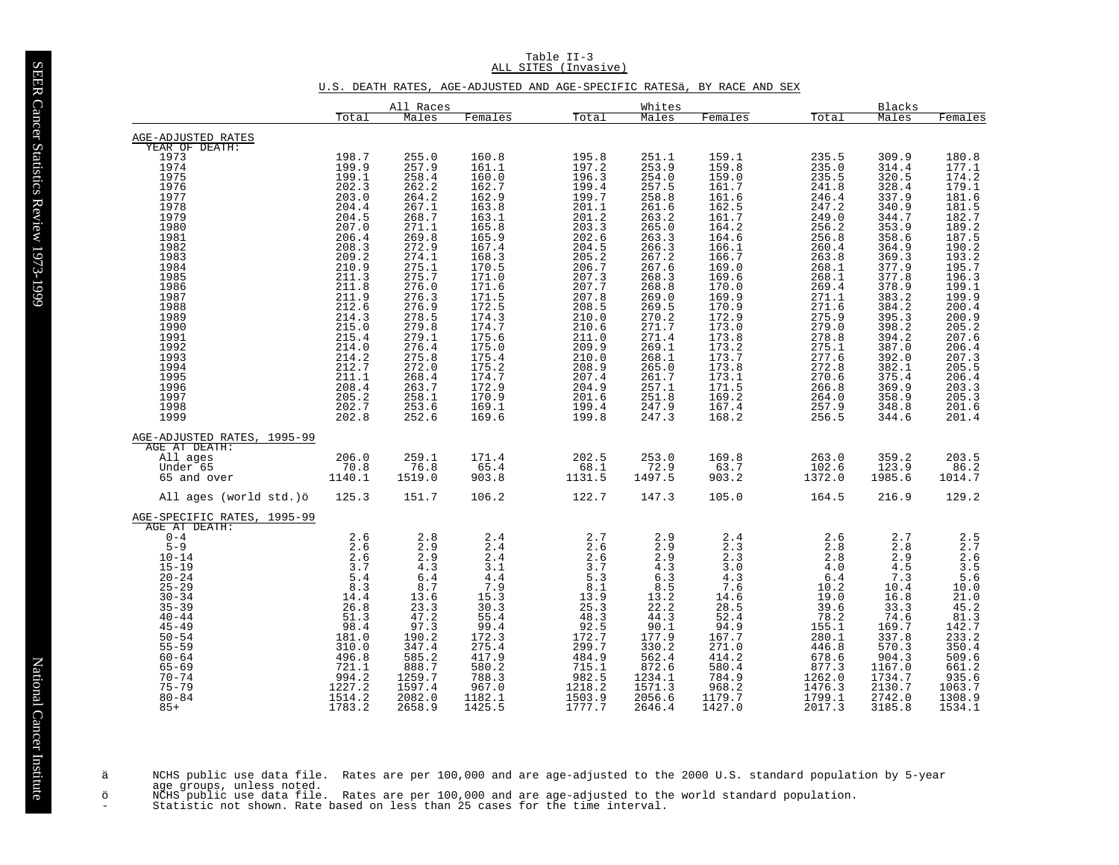Table II-3 ALL SITES (Invasive)

# U.S. DEATH RATES, AGE-ADJUSTED AND AGE-SPECIFIC RATESä, BY RACE AND SEX

|                                                                                                                                                                                                                                                                          |                                                                                                                                                                        | All Races                                                                                                                                                         |                                                                                                                                                                     |                                                                                                                                                          | Whites                                                                                                                                                        |                                                                                                                                                           |                                                                                                                                                             | Blacks                                                                                                                                                           |                                                                                                                                                                            |
|--------------------------------------------------------------------------------------------------------------------------------------------------------------------------------------------------------------------------------------------------------------------------|------------------------------------------------------------------------------------------------------------------------------------------------------------------------|-------------------------------------------------------------------------------------------------------------------------------------------------------------------|---------------------------------------------------------------------------------------------------------------------------------------------------------------------|----------------------------------------------------------------------------------------------------------------------------------------------------------|---------------------------------------------------------------------------------------------------------------------------------------------------------------|-----------------------------------------------------------------------------------------------------------------------------------------------------------|-------------------------------------------------------------------------------------------------------------------------------------------------------------|------------------------------------------------------------------------------------------------------------------------------------------------------------------|----------------------------------------------------------------------------------------------------------------------------------------------------------------------------|
|                                                                                                                                                                                                                                                                          | Total                                                                                                                                                                  | Males                                                                                                                                                             | Females                                                                                                                                                             | Total                                                                                                                                                    | Males                                                                                                                                                         | Females                                                                                                                                                   | Total                                                                                                                                                       | Males                                                                                                                                                            | Females                                                                                                                                                                    |
| AGE-ADJUSTED RATES                                                                                                                                                                                                                                                       |                                                                                                                                                                        |                                                                                                                                                                   |                                                                                                                                                                     |                                                                                                                                                          |                                                                                                                                                               |                                                                                                                                                           |                                                                                                                                                             |                                                                                                                                                                  |                                                                                                                                                                            |
| YEAR OF DEATH:<br>1973<br>1974<br>1975<br>1975<br>1977<br>1978<br>1979<br>1980<br>1981<br>1982<br>1983<br>1984<br>1985<br>1986<br>1987<br>1988<br>1989                                                                                                                   | 198.7<br>199.9<br>$\frac{199.1}{202.3}$<br>203.0<br>204.4<br>204.5<br>207.0<br>206.4<br>$208.3$<br>$209.2$<br>$210.9$<br>$211.3$<br>$211.8$<br>211.9<br>212.6<br>214.3 | 255.0<br>257.9<br>258.4<br>262.2<br>264.2<br>267.1<br>268.7<br>271.1<br>269.8<br>272.9<br>274.1<br>275.1<br>275.7<br>276.0<br>276.3<br>276.9<br>278.5             | 160.8<br>$\frac{161.1}{160.0}$<br>162.7<br>162.9<br>163.8<br>163.1<br>165.8<br>165.9<br>167.4<br>$\frac{168.3}{170.5}$<br>171.0<br>171.6<br>171.5<br>172.5<br>174.3 | 195.8<br>197.2<br>196.3<br>199.4<br>199.7<br>201.1<br>201.2<br>203.3<br>202.6<br>204.5<br>205.2<br>206.7<br>207.3<br>207.7<br>207.8<br>208.5<br>210.0    | 251.1<br>253.9<br>$254.0$<br>$257.5$<br>258.8<br>261.6<br>263.2<br>265.0<br>263.3<br>$266.3$<br>$267.2$<br>267.6<br>268.3<br>268.8<br>269.0<br>269.5<br>270.2 | 159.1<br>159.8<br>159.0<br>161.7<br>161.6<br>162.5<br>161.7<br>164.2<br>164.6<br>166.1<br>166.7<br>169.0<br>169.6<br>170.0<br>169.9<br>170.9<br>172.9     | 235.5<br>$235.0$<br>$235.5$<br>$241.8$<br>246.4<br>247.2<br>249.0<br>256.2<br>256.8<br>260.4<br>263.8<br>268.1<br>268.1<br>269.4<br>271.1<br>271.6<br>275.9 | 309.9<br>$314.4$<br>$320.5$<br>$328.4$<br>337.9<br>340.9<br>344.7<br>353.9<br>$358.6$<br>364.9<br>369.3<br>377.9<br>377.8<br>378.9<br>383.2<br>384.2<br>395.3    | 180.8<br>$177.1$<br>$174.2$<br>$179.1$<br>$\frac{181.6}{181.5}$<br>182.7<br>$189.2$<br>$187.5$<br>$190.2$<br>$193.2$<br>$195.7$<br>$\frac{196.3}{199.1}$<br>199.9<br>200.4 |
| 1990<br>1991<br>1992<br>1993<br>1994<br>1995<br>1996<br>1997<br>1998<br>1999                                                                                                                                                                                             | $215.0$<br>$215.4$<br>$214.0$<br>$214.2$<br>$212.7$<br>211.1<br>208.4<br>$205.2$<br>$202.7$<br>202.8                                                                   | 279.8<br>$279.1$<br>$276.4$<br>$275.8$<br>$272.0$<br>268.4<br>263.7<br>258.1<br>253.6<br>252.6                                                                    | 174.7<br>175.6<br>175.0<br>$175.4$<br>$175.2$<br>174.7<br>172.9<br>170.9<br>169.1<br>169.6                                                                          | 210.6<br>211.0<br>209.9<br>210.0<br>208.9<br>207.4<br>204.9<br>201.6<br>199.4<br>199.8                                                                   | 271.7<br>$271.4$<br>$269.1$<br>$268.1$<br>$265.0$<br>261.7<br>257.1<br>251.8<br>247.9<br>247.3                                                                | 173.0<br>$173.8$<br>$173.2$<br>$173.7$<br>$173.8$<br>173.1<br>$\frac{171.5}{169.2}$<br>167.4<br>168.2                                                     | 279.0<br>278.8<br>275.1<br>277.6<br>272.8<br>270.6<br>266.8<br>264.0<br>257.9<br>256.5                                                                      | $398.2$<br>$394.2$<br>$387.0$<br>392.0<br>382.1<br>375.4<br>369.9<br>358.9<br>348.8<br>344.6                                                                     | $200.9$<br>$205.2$<br>$207.6$<br>$206.4$<br>$207.3$<br>$205.5$<br>206.4<br>203.3<br>205.3<br>201.6<br>201.4                                                                |
| AGE-ADJUSTED RATES, 1995-99<br>AGE AT DEATH:<br>All ages<br>Under 65<br>65 and over                                                                                                                                                                                      | 206.0<br>70.8<br>1140.1                                                                                                                                                | 259.1<br>76.8<br>1519.0                                                                                                                                           | 171.4<br>65.4<br>903.8                                                                                                                                              | 202.5<br>68.1<br>1131.5                                                                                                                                  | $253.0$<br>72.9<br>1497.5                                                                                                                                     | 169.8<br>63.7<br>903.2                                                                                                                                    | 263.0<br>102.6<br>1372.0                                                                                                                                    | 359.2<br>123.9<br>1985.6                                                                                                                                         | 203.5<br>86.2<br>1014.7                                                                                                                                                    |
| All ages (world std.)ö                                                                                                                                                                                                                                                   | 125.3                                                                                                                                                                  | 151.7                                                                                                                                                             | 106.2                                                                                                                                                               | 122.7                                                                                                                                                    | 147.3                                                                                                                                                         | 105.0                                                                                                                                                     | 164.5                                                                                                                                                       | 216.9                                                                                                                                                            | 129.2                                                                                                                                                                      |
| AGE-SPECIFIC RATES, 1995-99<br>AGE AT DEATH:<br>$0 - 4$<br>$5-9$<br>10-14<br>$15 - 19$<br>$20 - 24$<br>$25 - 29$<br>$30 - 34$<br>$35 - 39$<br>$40 - 44$<br>$45 - 49$<br>$50 - 54$<br>$55 - 59$<br>$60 - 64$<br>$65 - 69$<br>$70 - 74$<br>$75 - 79$<br>$80 - 84$<br>$85+$ | $2.6$<br>$2.6$<br>$2.6$<br>$3.7$<br>5.4<br>8.3<br>$\frac{14.4}{26.8}$<br>51.3<br>98.4<br>181.0<br>310.0<br>496.8<br>721.1<br>994.2<br>1227.2<br>1514.2<br>1783.2       | $2.8$<br>2.9<br>$\overline{2.9}$<br>4.3<br>6.4<br>8.7<br>13.6<br>23.3<br>47.2<br>97.3<br>190.2<br>347.4<br>585.2<br>888.7<br>1259.7<br>1597.4<br>2082.0<br>2658.9 | 2.4<br>2.4<br>2.4<br>3.1<br>4.4<br>$7.9$<br>15.3<br>30.3<br>55.4<br>99.4<br>172.3<br>275.4<br>417.9<br>580.2<br>788.3<br>967.0<br>1182.1<br>1425.5                  | 2.7<br>2.6<br>2.6<br>3.7<br>5.3<br>8.1<br>$\frac{13.9}{25.3}$<br>48.3<br>92.5<br>172.7<br>299.7<br>484.9<br>715.1<br>982.5<br>1218.2<br>1503.9<br>1777.7 | 2.9<br>2.9<br>2.9<br>$4.3\,$<br>6.3<br>8.5<br>$\frac{13.2}{22.2}$<br>44.3<br>90.1<br>177.9<br>330.2<br>562.4<br>872.6<br>1234.1<br>1571.3<br>2056.6<br>2646.4 | 2.4<br>2.3<br>2.3<br>$3.0$<br>4.3<br>7.6<br>$\frac{14.6}{28.5}$<br>52.4<br>94.9<br>167.7<br>271.0<br>414.2<br>580.4<br>784.9<br>968.2<br>1179.7<br>1427.0 | 2.6<br>2.8<br>2.8<br>4.0<br>6.4<br>10.2<br>$\frac{19.0}{39.6}$<br>78.2<br>155.1<br>280.1<br>446.8<br>678.6<br>877.3<br>1262.0<br>1476.3<br>1799.1<br>2017.3 | 2.7<br>2.8<br>2.9<br>$4\,.5$<br>7.3<br>10.4<br>$\frac{16.8}{33.3}$<br>74.6<br>169.7<br>337.8<br>570.3<br>904.3<br>1167.0<br>1734.7<br>2130.7<br>2742.0<br>3185.8 | $2.5$<br>$2.7$<br>$3.5$<br>$5.6$<br>$10.0$<br>$21.0$<br>$45.2$<br>$81.3$<br>$142.7$<br>233.2<br>$350.4$<br>509.6<br>$661.2$<br>935.6<br>1063.7<br>1308.9<br>1534.1         |

ä NCHS public use data file. Rates are per 100,000 and are age-adjusted to the 2000 U.S. standard population by 5-year<br>age groups, unless noted.<br>ö NCHS public use data file. Rates are per 100,000 and are age-adjus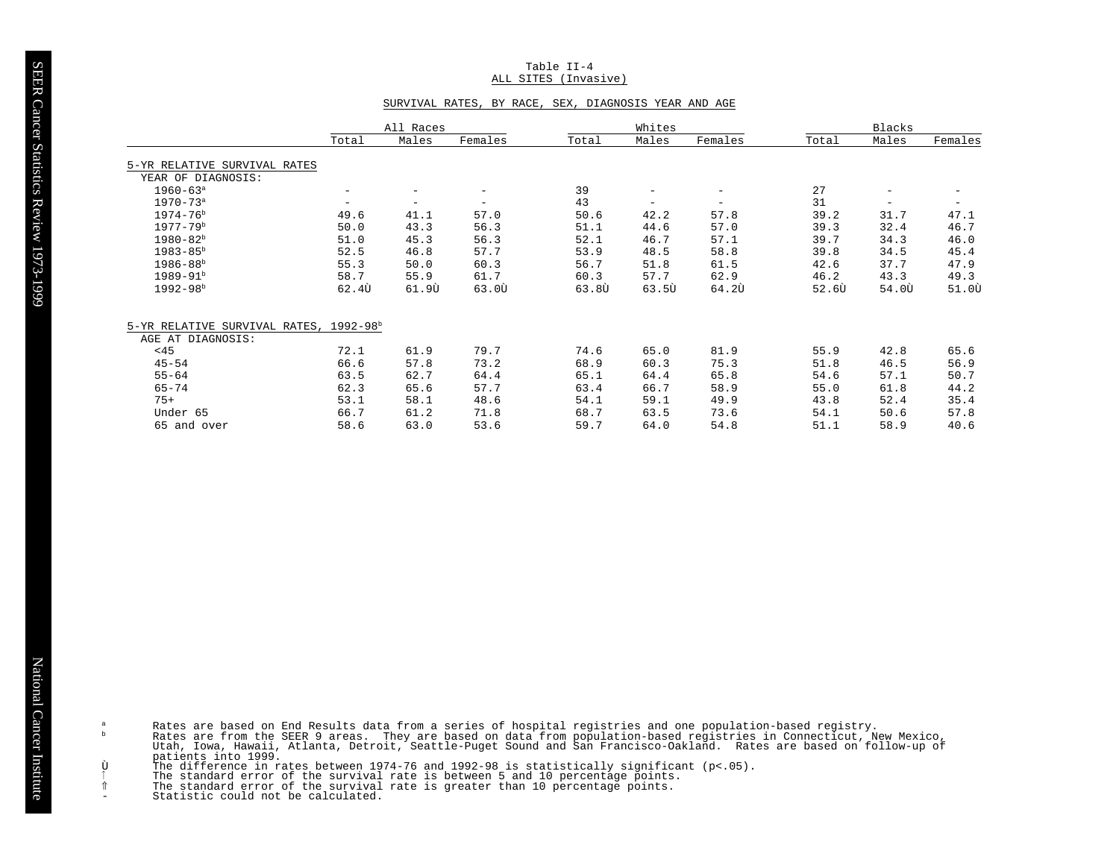## Table II-4 ALL SITES (Invasive)

## SURVIVAL RATES, BY RACE, SEX, DIAGNOSIS YEAR AND AGE

|                               |                   | All Races                |                              |                   | Whites            |                          |                    | Blacks                   |                    |
|-------------------------------|-------------------|--------------------------|------------------------------|-------------------|-------------------|--------------------------|--------------------|--------------------------|--------------------|
|                               | Total             | Males                    | Females                      | Total             | Males             | Females                  | Total              | Males                    | Females            |
| 5-YR RELATIVE SURVIVAL RATES  |                   |                          |                              |                   |                   |                          |                    |                          |                    |
| YEAR OF DIAGNOSIS:            |                   |                          |                              |                   |                   |                          |                    |                          |                    |
| $1960 - 63$ <sup>a</sup>      | $\qquad \qquad -$ | $\overline{\phantom{m}}$ | $\qquad \qquad \blacksquare$ | 39                | -                 | $\qquad \qquad -$        | 27                 | $\overline{\phantom{m}}$ | $\qquad \qquad -$  |
| $1970 - 73$ <sup>a</sup>      | $\qquad \qquad -$ | $\overline{\phantom{m}}$ | $\overline{\phantom{m}}$     | 43                | $\qquad \qquad -$ | $\overline{\phantom{m}}$ | 31                 | -                        | $\qquad \qquad -$  |
| $1974 - 76b$                  | 49.6              | 41.1                     | 57.0                         | 50.6              | 42.2              | 57.8                     | 39.2               | 31.7                     | 47.1               |
| $1977 - 79^{\rm b}$           | 50.0              | 43.3                     | 56.3                         | 51.1              | 44.6              | 57.0                     | 39.3               | 32.4                     | 46.7               |
| $1980 - 82^b$                 | 51.0              | 45.3                     | 56.3                         | 52.1              | 46.7              | 57.1                     | 39.7               | 34.3                     | 46.0               |
| $1983 - 85^b$                 | 52.5              | 46.8                     | 57.7                         | 53.9              | 48.5              | 58.8                     | 39.8               | 34.5                     | 45.4               |
| $1986 - 88b$                  | 55.3              | 50.0                     | 60.3                         | 56.7              | 51.8              | 61.5                     | 42.6               | 37.7                     | 47.9               |
| $1989 - 91b$                  | 58.7              | 55.9                     | 61.7                         | 60.3              | 57.7              | 62.9                     | 46.2               | 43.3                     | 49.3               |
| $1992 - 98b$                  | 62.4Ù             | 61.90                    | 63.00                        | 63.8 <sub>U</sub> | 63.50             | $64.2\bar{U}$            | $52.6\overline{v}$ | $54.0\overline{0}$       | $51.0\overline{0}$ |
| 5-YR RELATIVE SURVIVAL RATES, | $1992 - 98b$      |                          |                              |                   |                   |                          |                    |                          |                    |
| AGE AT DIAGNOSIS:             |                   |                          |                              |                   |                   |                          |                    |                          |                    |
| <45                           | 72.1              | 61.9                     | 79.7                         | 74.6              | 65.0              | 81.9                     | 55.9               | 42.8                     | 65.6               |
| $45 - 54$                     | 66.6              | 57.8                     | 73.2                         | 68.9              | 60.3              | 75.3                     | 51.8               | 46.5                     | 56.9               |
| $55 - 64$                     | 63.5              | 62.7                     | 64.4                         | 65.1              | 64.4              | 65.8                     | 54.6               | 57.1                     | 50.7               |
| $65 - 74$                     | 62.3              | 65.6                     | 57.7                         | 63.4              | 66.7              | 58.9                     | 55.0               | 61.8                     | 44.2               |
| $75+$                         | 53.1              | 58.1                     | 48.6                         | 54.1              | 59.1              | 49.9                     | 43.8               | 52.4                     | 35.4               |
| Under 65                      | 66.7              | 61.2                     | 71.8                         | 68.7              | 63.5              | 73.6                     | 54.1               | 50.6                     | 57.8               |
| 65 and over                   | 58.6              | 63.0                     | 53.6                         | 59.7              | 64.0              | 54.8                     | 51.1               | 58.9                     | 40.6               |

Rates are based on End Results data from a series of hospital registries and one population-based registry.<br>Rates are from the SEER 9 areas. They are based on data from population-based registries in Connecticut, New Mexic

partners into 1999.<br>The difference in rates between 1974-76 and 1992-98 is statistically significant (p<.05).<br>The standard error of the survival rate is between 5 and 10 percentage points.<br>The standard error of the surviva

 $\rm{a}$  $\mathbf b$ 

Ù ⇑  $\sim$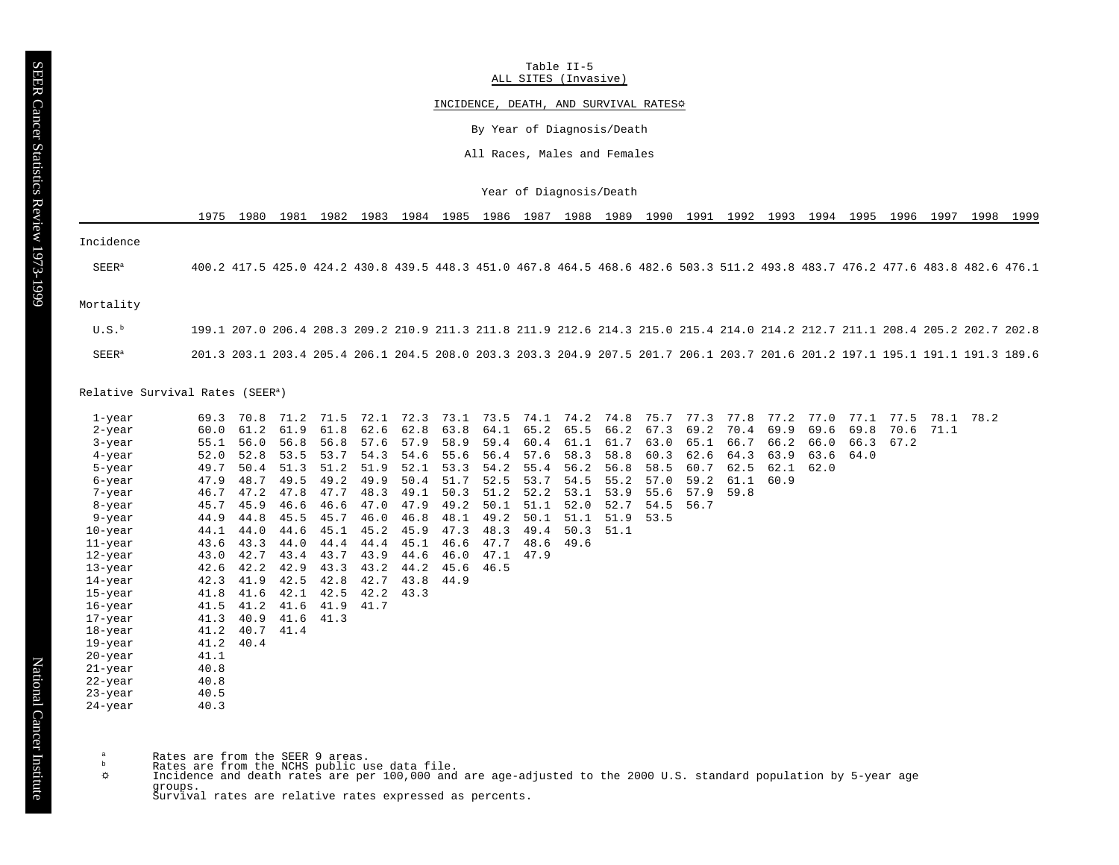SEER Cancer Statistics Review 1973-1999 SEER Cancer Statistics Review 1973-1999

Table II-5 ALL SITES (Invasive)

# INCIDENCE, DEATH, AND SURVIVAL RATES<sup>\$</sup>

By Year of Diagnosis/Death

All Races, Males and Females

Year of Diagnosis/Death

1975 1980 1981 1982 1983 1984 1985 1986 1987 1988 1989 1990 1991 1992 1993 1994 1995 1996 1997 1998 1999

Incidence

SEER<sup>a</sup> 400.2 417.5 425.0 424.2 430.8 439.5 448.3 451.0 467.8 464.5 468.6 482.6 503.3 511.2 493.8 483.7 476.2 477.6 483.8 482.6 476.1

# Mortality

| U.S. <sup>b</sup> | 199.1 207.0 206.4 208.3 209.2 210.9 211.3 211.8 211.9 212.6 214.3 215.0 215.4 214.0 214.2 212.7 211.1 208.4 205.2 202.7 202.8 |  |
|-------------------|-------------------------------------------------------------------------------------------------------------------------------|--|
| SEER <sup>a</sup> | 201.3 203.1 203.4 205.4 206.1 204.5 208.0 203.3 203.3 204.9 207.5 201.7 206.1 203.7 201.6 201.2 197.1 195.1 191.1 191.3 189.6 |  |

# Relative Survival Rates (SEER<sup>a</sup>)

| 1-year  | 69.3 | 70.8      | 71.2      | 71.5 | 72.1 |      | 72.3 73.1 |      |      | 73.5 74.1 74.2 74.8 |      |      | 75.7 77.3 | 77.8      | 77.2 | 77.0 | 77.1 | 77.5 | 78.1 78.2 |  |
|---------|------|-----------|-----------|------|------|------|-----------|------|------|---------------------|------|------|-----------|-----------|------|------|------|------|-----------|--|
| 2-year  | 60.0 | 61.2      | 61.9      | 61.8 | 62.6 | 62.8 | 63.8      | 64.1 | 65.2 | 65.5                | 66.2 | 67.3 | 69.2      | 70.4      | 69.9 | 69.6 | 69.8 | 70.6 | 71.1      |  |
| 3-year  | 55.1 | 56.0      | 56.8      | 56.8 | 57.6 | 57.9 | 58.9      | 59.4 | 60.4 | 61.1                | 61.7 | 63.0 |           | 65.1 66.7 | 66.2 | 66.0 | 66.3 | 67.2 |           |  |
| 4-year  | 52.0 | 52.8      | 53.5      | 53.7 | 54.3 | 54.6 | 55.6      | 56.4 | 57.6 | 58.3                | 58.8 | 60.3 | 62.6      | 64.3      | 63.9 | 63.6 | 64.0 |      |           |  |
| 5-year  | 49.7 | 50.4      | 51.3      | 51.2 | 51.9 | 52.1 | 53.3      | 54.2 | 55.4 | 56.2                | 56.8 | 58.5 | 60.7      | 62.5      | 62.1 | 62.0 |      |      |           |  |
| 6-year  | 47.9 | 48.7      | 49.5      | 49.2 | 49.9 | 50.4 | 51.7      | 52.5 | 53.7 | 54.5                | 55.2 | 57.0 | 59.2      | 61.1      | 60.9 |      |      |      |           |  |
| 7-year  | 46.7 | 47.2      | 47.8      | 47.7 | 48.3 | 49.1 | 50.3      | 51.2 | 52.2 | 53.1                | 53.9 | 55.6 | 57.9      | 59.8      |      |      |      |      |           |  |
| 8-year  |      | 45.7 45.9 | 46.6      | 46.6 | 47.0 | 47.9 | 49.2      | 50.1 | 51.1 | 52.0                | 52.7 | 54.5 | 56.7      |           |      |      |      |      |           |  |
| 9-year  | 44.9 | 44.8      | 45.5      | 45.7 | 46.0 | 46.8 | 48.1      | 49.2 | 50.1 | 51.1                | 51.9 | 53.5 |           |           |      |      |      |      |           |  |
| 10-year |      | 44.1 44.0 | 44.6      | 45.1 | 45.2 | 45.9 | 47.3      | 48.3 | 49.4 | 50.3                | 51.1 |      |           |           |      |      |      |      |           |  |
| 11-year |      | 43.6 43.3 | 44.0      | 44.4 | 44.4 | 45.1 | 46.6      | 47.7 | 48.6 | 49.6                |      |      |           |           |      |      |      |      |           |  |
| 12-year | 43.0 | 42.7      | 43.4      | 43.7 | 43.9 | 44.6 | 46.0      | 47.1 | 47.9 |                     |      |      |           |           |      |      |      |      |           |  |
| 13-year | 42.6 | 42.2      | 42.9      | 43.3 | 43.2 | 44.2 | 45.6      | 46.5 |      |                     |      |      |           |           |      |      |      |      |           |  |
| 14-year | 42.3 | 41.9      | 42.5      | 42.8 | 42.7 | 43.8 | 44.9      |      |      |                     |      |      |           |           |      |      |      |      |           |  |
| 15-year | 41.8 | 41.6      | 42.1      | 42.5 | 42.2 | 43.3 |           |      |      |                     |      |      |           |           |      |      |      |      |           |  |
| 16-year | 41.5 | 41.2      | 41.6      | 41.9 | 41.7 |      |           |      |      |                     |      |      |           |           |      |      |      |      |           |  |
| 17-year |      | 41.3 40.9 | 41.6 41.3 |      |      |      |           |      |      |                     |      |      |           |           |      |      |      |      |           |  |
| 18-year |      | 41.2 40.7 | 41.4      |      |      |      |           |      |      |                     |      |      |           |           |      |      |      |      |           |  |
| 19-year |      | 41.2 40.4 |           |      |      |      |           |      |      |                     |      |      |           |           |      |      |      |      |           |  |
| 20-year | 41.1 |           |           |      |      |      |           |      |      |                     |      |      |           |           |      |      |      |      |           |  |
| 21-year | 40.8 |           |           |      |      |      |           |      |      |                     |      |      |           |           |      |      |      |      |           |  |
| 22-year | 40.8 |           |           |      |      |      |           |      |      |                     |      |      |           |           |      |      |      |      |           |  |
| 23-year | 40.5 |           |           |      |      |      |           |      |      |                     |      |      |           |           |      |      |      |      |           |  |
| 24-year | 40.3 |           |           |      |      |      |           |      |      |                     |      |      |           |           |      |      |      |      |           |  |

 $\alpha$  Rates are from the SEER 9 areas.<br>b Pates are from the NGUS public  $\mu$ 

- 
- ʰ Rates are from the NCHS public use data file.<br>☆ Incidence and death rates are per 100,000 and are age-adjusted to the 2000 U.S. standard population by 5-year age  $\phi$ groups. Survival rates are relative rates expressed as percents.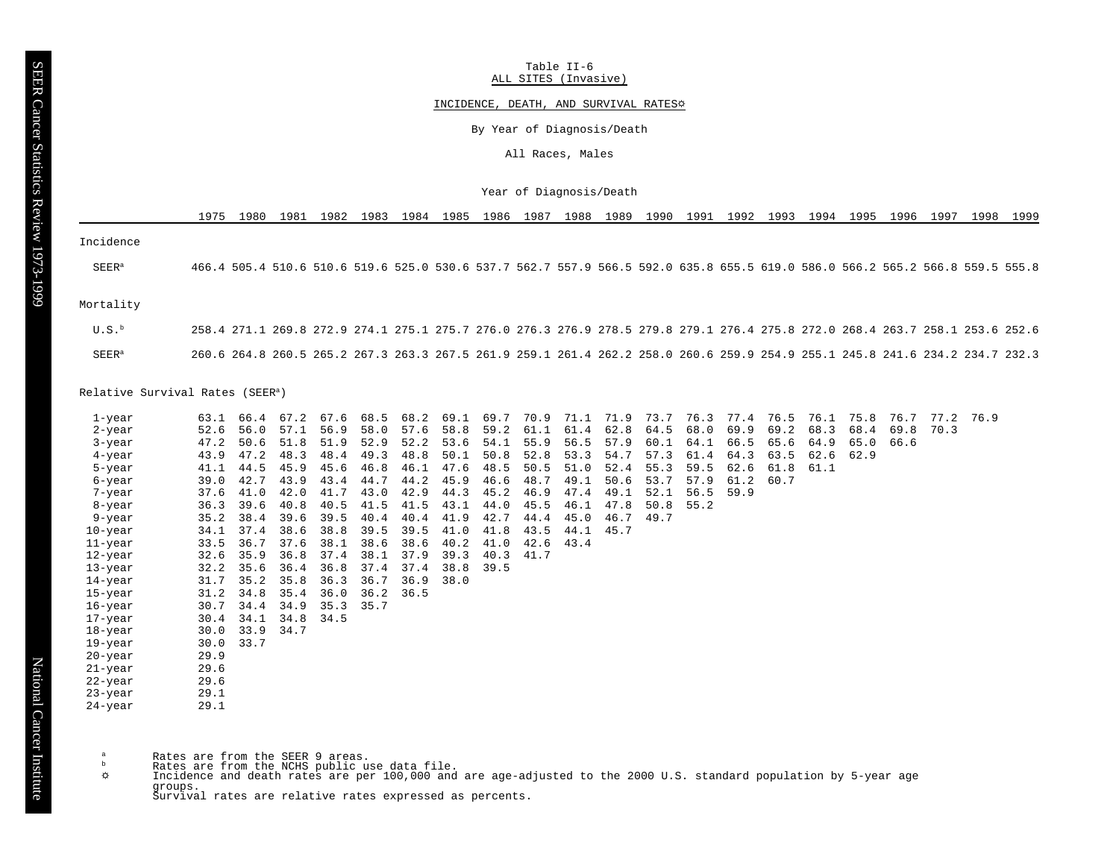Table II-6 ALL SITES (Invasive)

# INCIDENCE, DEATH, AND SURVIVAL RATES<sup>\$</sup>

By Year of Diagnosis/Death

All Races, Males

Year of Diagnosis/Death

1975 1980 1981 1982 1983 1984 1985 1986 1987 1988 1989 1990 1991 1992 1993 1994 1995 1996 1997 1998 1999

Incidence

SEER<sup>a</sup> 466.4 505.4 510.6 510.6 519.6 525.0 530.6 537.7 562.7 557.9 566.5 592.0 635.8 655.5 619.0 586.0 566.2 565.2 566.8 559.5 555.8

#### Mortality

 U.S.<sup>b</sup> 258.4 271.1 269.8 272.9 274.1 275.1 275.7 276.0 276.3 276.9 278.5 279.8 279.1 276.4 275.8 272.0 268.4 263.7 258.1 253.6 252.6 SEER<sup>a</sup> 260.6 264.8 260.5 265.2 267.3 263.3 267.5 261.9 259.1 261.4 262.2 258.0 260.6 259.9 254.9 255.1 245.8 241.6 234.2 234.7 232.3

## Relative Survival Rates (SEER<sup>a</sup>)

| 1-year  |           | 63.1 66.4      | 67.2 | 67.6 | 68.5        |      | 68.2 69.1 |      | 69.7 70.9 | 71.1 | 71.9 |      | 73.7 76.3 | 77.4 | 76.5 | 76.1 | 75.8 | 76.7 | 77.2 76.9 |  |
|---------|-----------|----------------|------|------|-------------|------|-----------|------|-----------|------|------|------|-----------|------|------|------|------|------|-----------|--|
| 2-year  | 52.6      | 56.0           | 57.1 | 56.9 | 58.0        | 57.6 | 58.8      | 59.2 | 61.1      | 61.4 | 62.8 | 64.5 | 68.0      | 69.9 | 69.2 | 68.3 | 68.4 | 69.8 | 70.3      |  |
| 3-year  | 47.2      | 50.6           | 51.8 | 51.9 | 52.9        | 52.2 | 53.6      | 54.1 | 55.9      | 56.5 | 57.9 |      | 60.1 64.1 | 66.5 | 65.6 | 64.9 | 65.0 | 66.6 |           |  |
| 4-year  | 43.9      | 47.2           | 48.3 | 48.4 | 49.3        | 48.8 | 50.1      | 50.8 | 52.8      | 53.3 | 54.7 | 57.3 | 61.4      | 64.3 | 63.5 | 62.6 | 62.9 |      |           |  |
| 5-year  |           | 41.1 44.5      | 45.9 | 45.6 | 46.8        | 46.1 | 47.6      | 48.5 | 50.5      | 51.0 | 52.4 | 55.3 | 59.5      | 62.6 | 61.8 | 61.1 |      |      |           |  |
| 6-year  |           | 39.0 42.7      | 43.9 | 43.4 | 44.7        | 44.2 | 45.9      | 46.6 | 48.7      | 49.1 | 50.6 | 53.7 | 57.9      | 61.2 | 60.7 |      |      |      |           |  |
| 7-year  |           | 37.6 41.0      | 42.0 | 41.7 | 43.0        | 42.9 | 44.3      | 45.2 | 46.9      | 47.4 | 49.1 | 52.1 | 56.5      | 59.9 |      |      |      |      |           |  |
| 8-year  |           | $36.3$ $39.6$  | 40.8 | 40.5 | 41.5        | 41.5 | 43.1      | 44.0 | 45.5      | 46.1 | 47.8 | 50.8 | 55.2      |      |      |      |      |      |           |  |
| 9-year  |           | 35.2 38.4      | 39.6 | 39.5 | 40.4        | 40.4 | 41.9      | 42.7 | 44.4      | 45.0 | 46.7 | 49.7 |           |      |      |      |      |      |           |  |
| 10-year |           | 34.1 37.4      | 38.6 | 38.8 | 39.5        | 39.5 | 41.0      | 41.8 | 43.5      | 44.1 | 45.7 |      |           |      |      |      |      |      |           |  |
| 11-year |           | 33.5 36.7      | 37.6 | 38.1 | 38.6        | 38.6 | 40.2      | 41.0 | 42.6      | 43.4 |      |      |           |      |      |      |      |      |           |  |
| 12-year |           | $32.6$ $35.9$  | 36.8 | 37.4 | 38.1        | 37.9 | 39.3      | 40.3 | 41.7      |      |      |      |           |      |      |      |      |      |           |  |
| 13-year |           | $32.2$ $35.6$  | 36.4 | 36.8 | 37.4        | 37.4 | 38.8      | 39.5 |           |      |      |      |           |      |      |      |      |      |           |  |
| 14-year |           | $31.7$ $35.2$  | 35.8 | 36.3 | 36.7        | 36.9 | 38.0      |      |           |      |      |      |           |      |      |      |      |      |           |  |
| 15-year |           | 31.2 34.8      | 35.4 | 36.0 | $36.2$ 36.5 |      |           |      |           |      |      |      |           |      |      |      |      |      |           |  |
| 16-year |           | 30.7 34.4      | 34.9 | 35.3 | 35.7        |      |           |      |           |      |      |      |           |      |      |      |      |      |           |  |
| 17-year |           | 30.4 34.1 34.8 |      | 34.5 |             |      |           |      |           |      |      |      |           |      |      |      |      |      |           |  |
| 18-year |           | $30.0$ $33.9$  | 34.7 |      |             |      |           |      |           |      |      |      |           |      |      |      |      |      |           |  |
| 19-year | 30.0 33.7 |                |      |      |             |      |           |      |           |      |      |      |           |      |      |      |      |      |           |  |
| 20-year | 29.9      |                |      |      |             |      |           |      |           |      |      |      |           |      |      |      |      |      |           |  |
| 21-year | 29.6      |                |      |      |             |      |           |      |           |      |      |      |           |      |      |      |      |      |           |  |
| 22-year | 29.6      |                |      |      |             |      |           |      |           |      |      |      |           |      |      |      |      |      |           |  |
| 23-year | 29.1      |                |      |      |             |      |           |      |           |      |      |      |           |      |      |      |      |      |           |  |
| 24-year | 29.1      |                |      |      |             |      |           |      |           |      |      |      |           |      |      |      |      |      |           |  |

 $A$  Rates are from the SEER 9 areas.

- Rates are from the NCHS public use data file.
- ö. Incidence and death rates are per 100,000 and are age-adjusted to the 2000 U.S. standard population by 5-year age groups.

Survival rates are relative rates expressed as percents.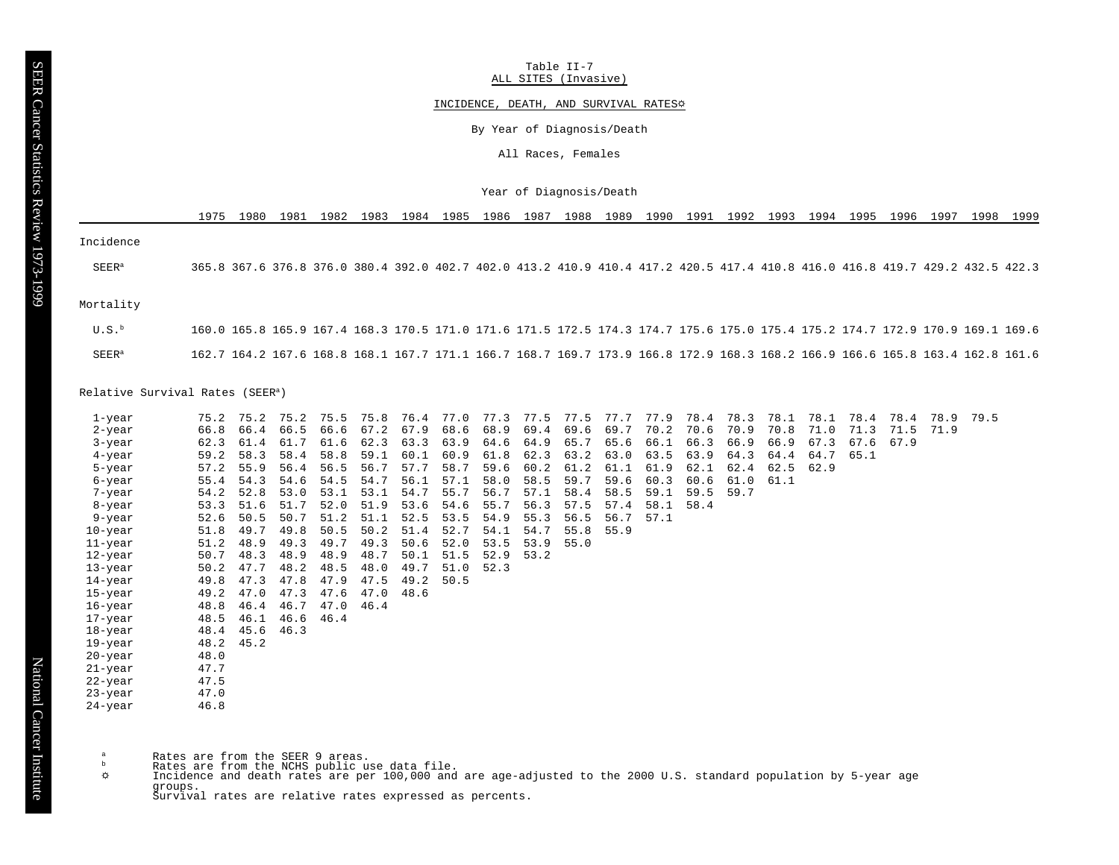Table II-7 ALL SITES (Invasive)

# INCIDENCE, DEATH, AND SURVIVAL RATES&

By Year of Diagnosis/Death

All Races, Females

Year of Diagnosis/Death

1975 1980 1981 1982 1983 1984 1985 1986 1987 1988 1989 1990 1991 1992 1993 1994 1995 1996 1997 1998 1999

Incidence

SEER<sup>a</sup> 365.8 367.6 376.8 376.0 380.4 392.0 402.7 402.0 413.2 410.9 410.4 417.2 420.5 417.4 410.8 416.0 416.8 419.7 429.2 432.5 422.3

#### Mortality

 U.S.<sup>b</sup> 160.0 165.8 165.9 167.4 168.3 170.5 171.0 171.6 171.5 172.5 174.3 174.7 175.6 175.0 175.4 175.2 174.7 172.9 170.9 169.1 169.6 SEER<sup>a</sup> 162.7 164.2 167.6 168.8 168.1 167.7 171.1 166.7 168.7 169.7 173.9 166.8 172.9 168.3 168.2 166.9 166.6 165.8 163.4 162.8 161.6

## Relative Survival Rates (SEER<sup>a</sup>)

| 1-year    | 75.2 | 75.2      | 75.2 | 75.5 | 75.8 |      | 76.4 77.0 | 77.3 |      | 77.5 77.5 | 77.7 77.9 |      |      | 78.4 78.3 | 78.1 | 78.1 | 78.4 | 78.4 | 78.9 | 79.5 |
|-----------|------|-----------|------|------|------|------|-----------|------|------|-----------|-----------|------|------|-----------|------|------|------|------|------|------|
| 2-year    | 66.8 | 66.4      | 66.5 | 66.6 | 67.2 | 67.9 | 68.6      | 68.9 | 69.4 | 69.6      | 69.7      | 70.2 | 70.6 | 70.9      | 70.8 | 71.0 | 71.3 | 71.5 | 71.9 |      |
| 3-year    | 62.3 | 61.4      | 61.7 | 61.6 | 62.3 | 63.3 | 63.9      | 64.6 | 64.9 | 65.7      | 65.6      | 66.1 | 66.3 | 66.9      | 66.9 | 67.3 | 67.6 | 67.9 |      |      |
| $4$ -year | 59.2 | 58.3      | 58.4 | 58.8 | 59.1 | 60.1 | 60.9      | 61.8 | 62.3 | 63.2      | 63.0      | 63.5 | 63.9 | 64.3      | 64.4 | 64.7 | 65.1 |      |      |      |
| 5-year    | 57.2 | 55.9      | 56.4 | 56.5 | 56.7 | 57.7 | 58.7      | 59.6 | 60.2 | 61.2      | 61.1      | 61.9 | 62.1 | 62.4      | 62.5 | 62.9 |      |      |      |      |
| 6-year    | 55.4 | 54.3      | 54.6 | 54.5 | 54.7 | 56.1 | 57.1      | 58.0 | 58.5 | 59.7      | 59.6      | 60.3 | 60.6 | 61.0      | 61.1 |      |      |      |      |      |
| 7-year    | 54.2 | 52.8      | 53.0 | 53.1 | 53.1 | 54.7 | 55.7      | 56.7 | 57.1 | 58.4      | 58.5      | 59.1 | 59.5 | 59.7      |      |      |      |      |      |      |
| 8-year    |      | 53.3 51.6 | 51.7 | 52.0 | 51.9 | 53.6 | 54.6      | 55.7 | 56.3 | 57.5      | 57.4      | 58.1 | 58.4 |           |      |      |      |      |      |      |
| 9-year    | 52.6 | 50.5      | 50.7 | 51.2 | 51.1 | 52.5 | 53.5      | 54.9 | 55.3 | 56.5      | 56.7      | 57.1 |      |           |      |      |      |      |      |      |
| 10-year   |      | 51.8 49.7 | 49.8 | 50.5 | 50.2 | 51.4 | 52.7      | 54.1 | 54.7 | 55.8      | 55.9      |      |      |           |      |      |      |      |      |      |
| 11-year   |      | 51.2 48.9 | 49.3 | 49.7 | 49.3 | 50.6 | 52.0      | 53.5 | 53.9 | 55.0      |           |      |      |           |      |      |      |      |      |      |
| 12-year   | 50.7 | 48.3      | 48.9 | 48.9 | 48.7 | 50.1 | 51.5      | 52.9 | 53.2 |           |           |      |      |           |      |      |      |      |      |      |
| 13-year   | 50.2 | 47.7      | 48.2 | 48.5 | 48.0 | 49.7 | 51.0      | 52.3 |      |           |           |      |      |           |      |      |      |      |      |      |
| 14-year   | 49.8 | 47.3      | 47.8 | 47.9 | 47.5 | 49.2 | 50.5      |      |      |           |           |      |      |           |      |      |      |      |      |      |
| 15-year   | 49.2 | 47.0      | 47.3 | 47.6 | 47.0 | 48.6 |           |      |      |           |           |      |      |           |      |      |      |      |      |      |
| 16-year   | 48.8 | 46.4      | 46.7 | 47.0 | 46.4 |      |           |      |      |           |           |      |      |           |      |      |      |      |      |      |
| 17-year   | 48.5 | 46.1      | 46.6 | 46.4 |      |      |           |      |      |           |           |      |      |           |      |      |      |      |      |      |
| 18-year   |      | 48.4 45.6 | 46.3 |      |      |      |           |      |      |           |           |      |      |           |      |      |      |      |      |      |
| 19-year   |      | 48.2 45.2 |      |      |      |      |           |      |      |           |           |      |      |           |      |      |      |      |      |      |
| 20-year   | 48.0 |           |      |      |      |      |           |      |      |           |           |      |      |           |      |      |      |      |      |      |
| 21-year   | 47.7 |           |      |      |      |      |           |      |      |           |           |      |      |           |      |      |      |      |      |      |
| 22-year   | 47.5 |           |      |      |      |      |           |      |      |           |           |      |      |           |      |      |      |      |      |      |
| 23-year   | 47.0 |           |      |      |      |      |           |      |      |           |           |      |      |           |      |      |      |      |      |      |
| 24-year   | 46.8 |           |      |      |      |      |           |      |      |           |           |      |      |           |      |      |      |      |      |      |

 $A$  Rates are from the SEER 9 areas.

- Rates are from the NCHS public use data file.
- ö. Incidence and death rates are per 100,000 and are age-adjusted to the 2000 U.S. standard population by 5-year age groups.

Survival rates are relative rates expressed as percents.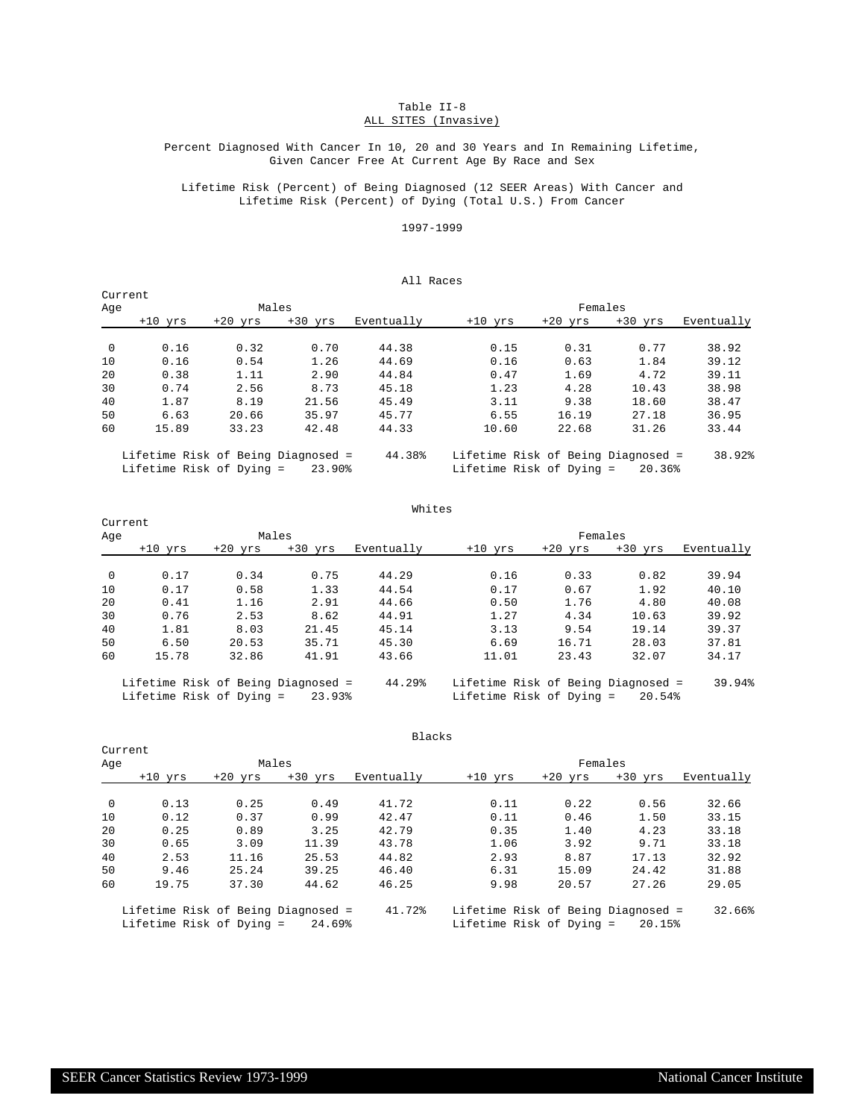# Table II-8 ALL SITES (Invasive)

# Percent Diagnosed With Cancer In 10, 20 and 30 Years and In Remaining Lifetime, Given Cancer Free At Current Age By Race and Sex

Lifetime Risk (Percent) of Being Diagnosed (12 SEER Areas) With Cancer and Lifetime Risk (Percent) of Dying (Total U.S.) From Cancer

# 1997-1999

# All Races

| Current        |           |           |           |            |           |              |           |            |
|----------------|-----------|-----------|-----------|------------|-----------|--------------|-----------|------------|
| Aqe            |           |           | Males     |            |           | Females      |           |            |
|                | $+10$ yrs | $+20$ yrs | $+30$ yrs | Eventually | $+10$ yrs | $+20$<br>yrs | $+30$ yrs | Eventually |
| $\overline{0}$ | 0.16      | 0.32      | 0.70      | 44.38      | 0.15      | 0.31         | 0.77      | 38.92      |
| 10             | 0.16      | 0.54      | 1.26      | 44.69      | 0.16      | 0.63         | 1.84      | 39.12      |
| 20             | 0.38      | 1.11      | 2.90      | 44.84      | 0.47      | 1.69         | 4.72      | 39.11      |
| 30             | 0.74      | 2.56      | 8.73      | 45.18      | 1.23      | 4.28         | 10.43     | 38.98      |
| 40             | 1.87      | 8.19      | 21.56     | 45.49      | 3.11      | 9.38         | 18.60     | 38.47      |
| 50             | 6.63      | 20.66     | 35.97     | 45.77      | 6.55      | 16.19        | 27.18     | 36.95      |
| 60             | 15.89     | 33.23     | 42.48     | 44.33      | 10.60     | 22.68        | 31.26     | 33.44      |

 Lifetime Risk of Being Diagnosed = 44.38% Lifetime Risk of Being Diagnosed = 38.92% Lifetime Risk of Dying = 23.90% Lifetime Risk of Dying = 20.36%

|                | Current                            |           |           |            |                                    |           |           |            |
|----------------|------------------------------------|-----------|-----------|------------|------------------------------------|-----------|-----------|------------|
| Age            |                                    |           | Males     |            |                                    | Females   |           |            |
|                | $+10$ vrs                          | $+20$ vrs | $+30$ vrs | Eventually | $+10$ yrs                          | $+20$ vrs | $+30$ vrs | Eventually |
| $\overline{0}$ | 0.17                               | 0.34      | 0.75      | 44.29      | 0.16                               | 0.33      | 0.82      | 39.94      |
| 10             | 0.17                               | 0.58      | 1.33      | 44.54      | 0.17                               | 0.67      | 1.92      | 40.10      |
| 20             | 0.41                               | 1.16      | 2.91      | 44.66      | 0.50                               | 1.76      | 4.80      | 40.08      |
| 30             | 0.76                               | 2.53      | 8.62      | 44.91      | 1.27                               | 4.34      | 10.63     | 39.92      |
| 40             | 1.81                               | 8.03      | 21.45     | 45.14      | 3.13                               | 9.54      | 19.14     | 39.37      |
| 50             | 6.50                               | 20.53     | 35.71     | 45.30      | 6.69                               | 16.71     | 28.03     | 37.81      |
| 60             | 15.78                              | 32.86     | 41.91     | 43.66      | 11.01                              | 23.43     | 32.07     | 34.17      |
|                | Lifetime Risk of Being Diagnosed = |           |           | 44.29%     | Lifetime Risk of Being Diagnosed = |           |           | 39.94%     |

Whites

Lifetime Risk of Dying = 23.93% Lifetime Risk of Dying = 20.54%

|                |                                                                |           |           | Blacks     |                                                                |           |           |            |
|----------------|----------------------------------------------------------------|-----------|-----------|------------|----------------------------------------------------------------|-----------|-----------|------------|
| Current        |                                                                |           |           |            |                                                                |           |           |            |
| Age            |                                                                | Males     |           |            |                                                                | Females   |           |            |
|                | $+10$ yrs                                                      | $+20$ yrs | $+30$ yrs | Eventually | $+10$ yrs                                                      | $+20$ yrs | $+30$ yrs | Eventually |
| $\overline{0}$ | 0.13                                                           | 0.25      | 0.49      | 41.72      | 0.11                                                           | 0.22      | 0.56      | 32.66      |
| 10             | 0.12                                                           | 0.37      | 0.99      | 42.47      | 0.11                                                           | 0.46      | 1.50      | 33.15      |
| 20             | 0.25                                                           | 0.89      | 3.25      | 42.79      | 0.35                                                           | 1.40      | 4.23      | 33.18      |
| 30             | 0.65                                                           | 3.09      | 11.39     | 43.78      | 1.06                                                           | 3.92      | 9.71      | 33.18      |
| 40             | 2.53                                                           | 11.16     | 25.53     | 44.82      | 2.93                                                           | 8.87      | 17.13     | 32.92      |
| 50             | 9.46                                                           | 25.24     | 39.25     | 46.40      | 6.31                                                           | 15.09     | 24.42     | 31.88      |
| 60             | 19.75                                                          | 37.30     | 44.62     | 46.25      | 9.98                                                           | 20.57     | 27.26     | 29.05      |
|                | Lifetime Risk of Being Diagnosed =<br>Lifetime Risk of Dying = |           | 24.69%    | 41.72%     | Lifetime Risk of Being Diagnosed =<br>Lifetime Risk of Dying = |           | 20.15%    | 32.66%     |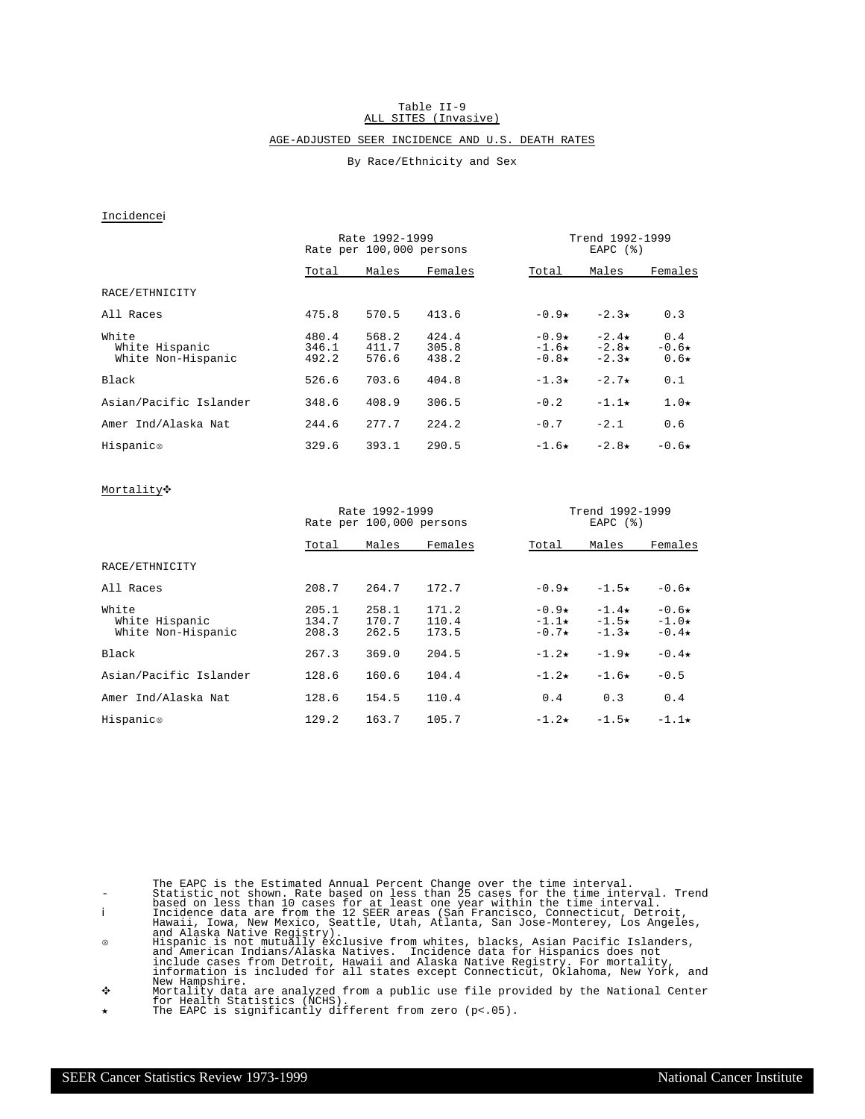#### Table II-9 ALL SITES (Invasive)

# AGE-ADJUSTED SEER INCIDENCE AND U.S. DEATH RATES

# By Race/Ethnicity and Sex

# Incidencei

|                                               |                         | Rate 1992-1999<br>Rate per 100,000 persons |                         | Trend 1992-1999<br>EAPC $(%)$             |                                           |                              |  |  |  |
|-----------------------------------------------|-------------------------|--------------------------------------------|-------------------------|-------------------------------------------|-------------------------------------------|------------------------------|--|--|--|
|                                               | Total                   | Males                                      | Females                 | Total                                     | Males                                     | Females                      |  |  |  |
| RACE/ETHNICITY                                |                         |                                            |                         |                                           |                                           |                              |  |  |  |
| All Races                                     | 475.8                   | 570.5                                      | 413.6                   | $-0.9\star$                               | $-2.3\star$                               | 0.3                          |  |  |  |
| White<br>White Hispanic<br>White Non-Hispanic | 480.4<br>346.1<br>492.2 | 568.2<br>411.7<br>576.6                    | 424.4<br>305.8<br>438.2 | $-0.9\star$<br>$-1.6\star$<br>$-0.8\star$ | $-2.4\star$<br>$-2.8\star$<br>$-2.3\star$ | 0.4<br>$-0.6*$<br>$0.6\star$ |  |  |  |
| Black                                         | 526.6                   | 703.6                                      | 404.8                   | $-1.3\star$                               | $-2.7\star$                               | 0.1                          |  |  |  |
| Asian/Pacific Islander                        | 348.6                   | 408.9                                      | 306.5                   | $-0.2$                                    | $-1.1\star$                               | $1.0\star$                   |  |  |  |
| Amer Ind/Alaska Nat                           | 244.6                   | 277.7                                      | 2.24.2                  | $-0.7$                                    | $-2.1$                                    | 0.6                          |  |  |  |
| Hispanic®                                     | 329.6                   | 393.1                                      | 290.5                   | $-1.6\star$                               | $-2.8\star$                               | $-0.6\star$                  |  |  |  |

# Mortality<sup>+</sup>

|                                               |                         | Rate 1992-1999<br>Rate per 100,000 persons |                         |                                           | Trend 1992-1999<br>EAPC $(%)$             |                                   |  |  |  |
|-----------------------------------------------|-------------------------|--------------------------------------------|-------------------------|-------------------------------------------|-------------------------------------------|-----------------------------------|--|--|--|
|                                               | Total                   | Males                                      | Females                 | Total                                     | Males                                     | Females                           |  |  |  |
| RACE/ETHNICITY                                |                         |                                            |                         |                                           |                                           |                                   |  |  |  |
| All Races                                     | 208.7                   | 264.7                                      | 172.7                   | $-0.9*$                                   | $-1.5+$                                   | $-0.6\star$                       |  |  |  |
| White<br>White Hispanic<br>White Non-Hispanic | 205.1<br>134.7<br>208.3 | 258.1<br>170.7<br>262.5                    | 171.2<br>110.4<br>173.5 | $-0.9\star$<br>$-1.1\star$<br>$-0.7\star$ | $-1.4\star$<br>$-1.5\star$<br>$-1.3\star$ | $-0.6*$<br>$-1.0*$<br>$-0.4\star$ |  |  |  |
| Black                                         | 267.3                   | 369.0                                      | 204.5                   | $-1.2\star$                               | $-1.9\star$                               | $-0.4\star$                       |  |  |  |
| Asian/Pacific Islander                        | 128.6                   | 160.6                                      | 104.4                   | $-1.2\star$                               | $-1.6\star$                               | $-0.5$                            |  |  |  |
| Amer Ind/Alaska Nat                           | 128.6                   | 154.5                                      | 110.4                   | 0.4                                       | 0.3                                       | 0.4                               |  |  |  |
| Hispanic®                                     | 129.2                   | 163.7                                      | 105.7                   | $-1.2\star$                               | $-1.5\star$                               | $-1.1\star$                       |  |  |  |

f Mortality data are analyzed from a public use file provided by the National Center for Health Statistics (NCHS). í The EAPC is significantly different from zero (p<.05).

The EAPC is the Estimated Annual Percent Change over the time interval.<br>
Statistic not shown. Rate based on less than 10 cases for at least one year within the time interval.<br>
Incidence data are from the 12 SEER areas (San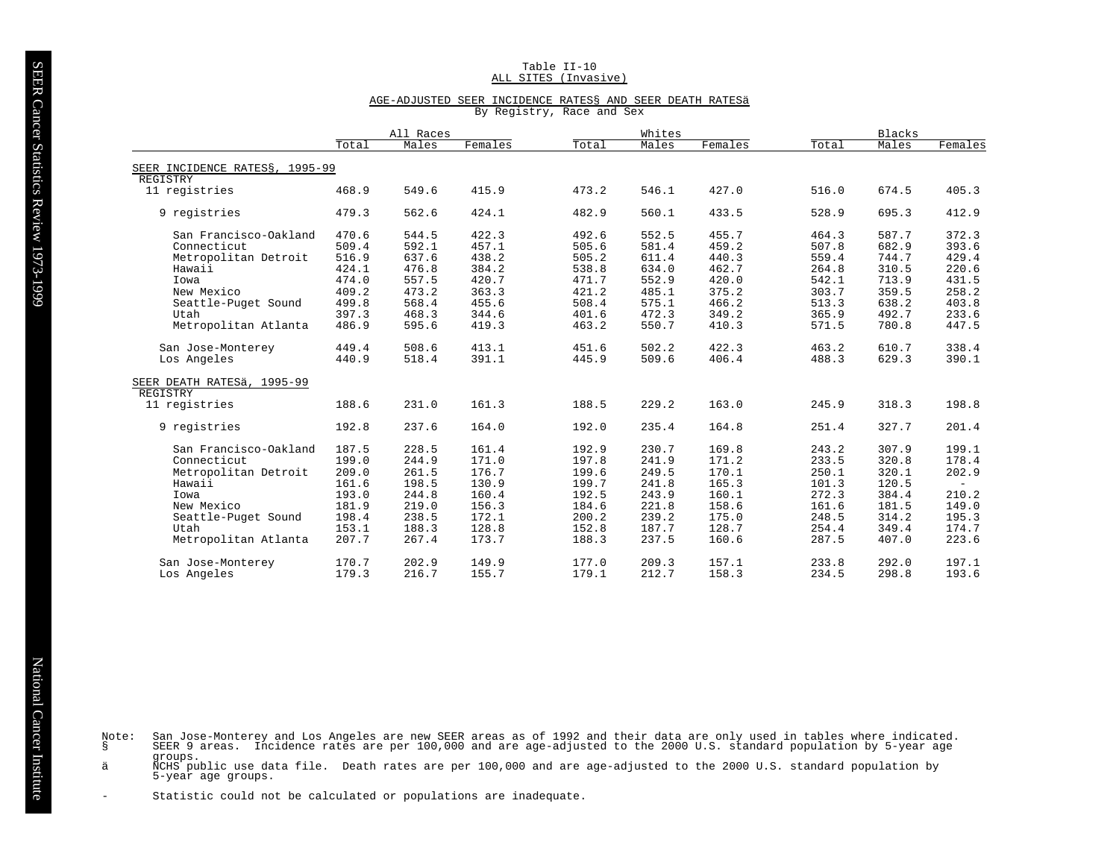## Table II-10 ALL SITES (Invasive)

### AGE-ADJUSTED SEER INCIDENCE RATES§ AND SEER DEATH RATESä

By Registry, Race and Sex

|                                            | All Races |       |         |       | Whites |         | <b>Blacks</b> |       |         |  |
|--------------------------------------------|-----------|-------|---------|-------|--------|---------|---------------|-------|---------|--|
|                                            | Total     | Males | Females | Total | Males  | Females | Total         | Males | Females |  |
|                                            |           |       |         |       |        |         |               |       |         |  |
| SEER INCIDENCE RATESS, 1995-99<br>REGISTRY |           |       |         |       |        |         |               |       |         |  |
| 11 registries                              | 468.9     | 549.6 | 415.9   | 473.2 | 546.1  | 427.0   | 516.0         | 674.5 | 405.3   |  |
|                                            |           |       |         |       |        |         |               |       |         |  |
| 9 registries                               | 479.3     | 562.6 | 424.1   | 482.9 | 560.1  | 433.5   | 528.9         | 695.3 | 412.9   |  |
| San Francisco-Oakland                      | 470.6     | 544.5 | 422.3   | 492.6 | 552.5  | 455.7   | 464.3         | 587.7 | 372.3   |  |
| Connecticut                                | 509.4     | 592.1 | 457.1   | 505.6 | 581.4  | 459.2   | 507.8         | 682.9 | 393.6   |  |
| Metropolitan Detroit                       | 516.9     | 637.6 | 438.2   | 505.2 | 611.4  | 440.3   | 559.4         | 744.7 | 429.4   |  |
| Hawaii                                     | 424.1     | 476.8 | 384.2   | 538.8 | 634.0  | 462.7   | 264.8         | 310.5 | 220.6   |  |
| Iowa                                       | 474.0     | 557.5 | 420.7   | 471.7 | 552.9  | 420.0   | 542.1         | 713.9 | 431.5   |  |
| New Mexico                                 | 409.2     | 473.2 | 363.3   | 421.2 | 485.1  | 375.2   | 303.7         | 359.5 | 258.2   |  |
| Seattle-Puget Sound                        | 499.8     | 568.4 | 455.6   | 508.4 | 575.1  | 466.2   | 513.3         | 638.2 | 403.8   |  |
| Utah                                       | 397.3     | 468.3 | 344.6   | 401.6 | 472.3  | 349.2   | 365.9         | 492.7 | 233.6   |  |
| Metropolitan Atlanta                       | 486.9     | 595.6 | 419.3   | 463.2 | 550.7  | 410.3   | 571.5         | 780.8 | 447.5   |  |
|                                            |           |       |         |       |        |         |               |       |         |  |
| San Jose-Monterey                          | 449.4     | 508.6 | 413.1   | 451.6 | 502.2  | 422.3   | 463.2         | 610.7 | 338.4   |  |
| Los Angeles                                | 440.9     | 518.4 | 391.1   | 445.9 | 509.6  | 406.4   | 488.3         | 629.3 | 390.1   |  |
| SEER DEATH RATESÄ, 1995-99                 |           |       |         |       |        |         |               |       |         |  |
| REGISTRY                                   |           |       |         |       |        |         |               |       |         |  |
| 11 registries                              | 188.6     | 231.0 | 161.3   | 188.5 | 229.2  | 163.0   | 245.9         | 318.3 | 198.8   |  |
|                                            |           |       |         |       |        |         |               |       |         |  |
| 9 registries                               | 192.8     | 237.6 | 164.0   | 192.0 | 235.4  | 164.8   | 251.4         | 327.7 | 201.4   |  |
|                                            |           |       |         |       |        |         |               |       |         |  |
| San Francisco-Oakland                      | 187.5     | 228.5 | 161.4   | 192.9 | 230.7  | 169.8   | 243.2         | 307.9 | 199.1   |  |
| Connecticut                                | 199.0     | 244.9 | 171.0   | 197.8 | 241.9  | 171.2   | 233.5         | 320.8 | 178.4   |  |
| Metropolitan Detroit                       | 209.0     | 261.5 | 176.7   | 199.6 | 249.5  | 170.1   | 250.1         | 320.1 | 202.9   |  |
| Hawaii                                     | 161.6     | 198.5 | 130.9   | 199.7 | 241.8  | 165.3   | 101.3         | 120.5 | $\sim$  |  |
| Iowa                                       | 193.0     | 244.8 | 160.4   | 192.5 | 243.9  | 160.1   | 272.3         | 384.4 | 210.2   |  |
| New Mexico                                 | 181.9     | 219.0 | 156.3   | 184.6 | 221.8  | 158.6   | 161.6         | 181.5 | 149.0   |  |
| Seattle-Puget Sound                        | 198.4     | 238.5 | 172.1   | 200.2 | 239.2  | 175.0   | 248.5         | 314.2 | 195.3   |  |
| Utah                                       | 153.1     | 188.3 | 128.8   | 152.8 | 187.7  | 128.7   | 254.4         | 349.4 | 174.7   |  |
| Metropolitan Atlanta                       | 207.7     | 267.4 | 173.7   | 188.3 | 237.5  | 160.6   | 287.5         | 407.0 | 223.6   |  |
| San Jose-Monterey                          | 170.7     | 202.9 | 149.9   | 177.0 | 209.3  | 157.1   | 233.8         | 292.0 | 197.1   |  |
| Los Angeles                                | 179.3     | 216.7 | 155.7   | 179.1 | 212.7  | 158.3   | 234.5         | 298.8 | 193.6   |  |
|                                            |           |       |         |       |        |         |               |       |         |  |

Note: San Jose-Monterey and Los Angeles are new SEER areas as of 1992 and their data are only used in tables where indicated.<br>§ SEER 9 areas. Incidence rates are per 100,000 and are age-adjusted to the 2000 U.S. stan groups.

ä NCHS public use data file. Death rates are per 100,000 and are age-adjusted to the 2000 U.S. standard population by<br>5-year age groups.

- Statistic could not be calculated or populations are inadequate.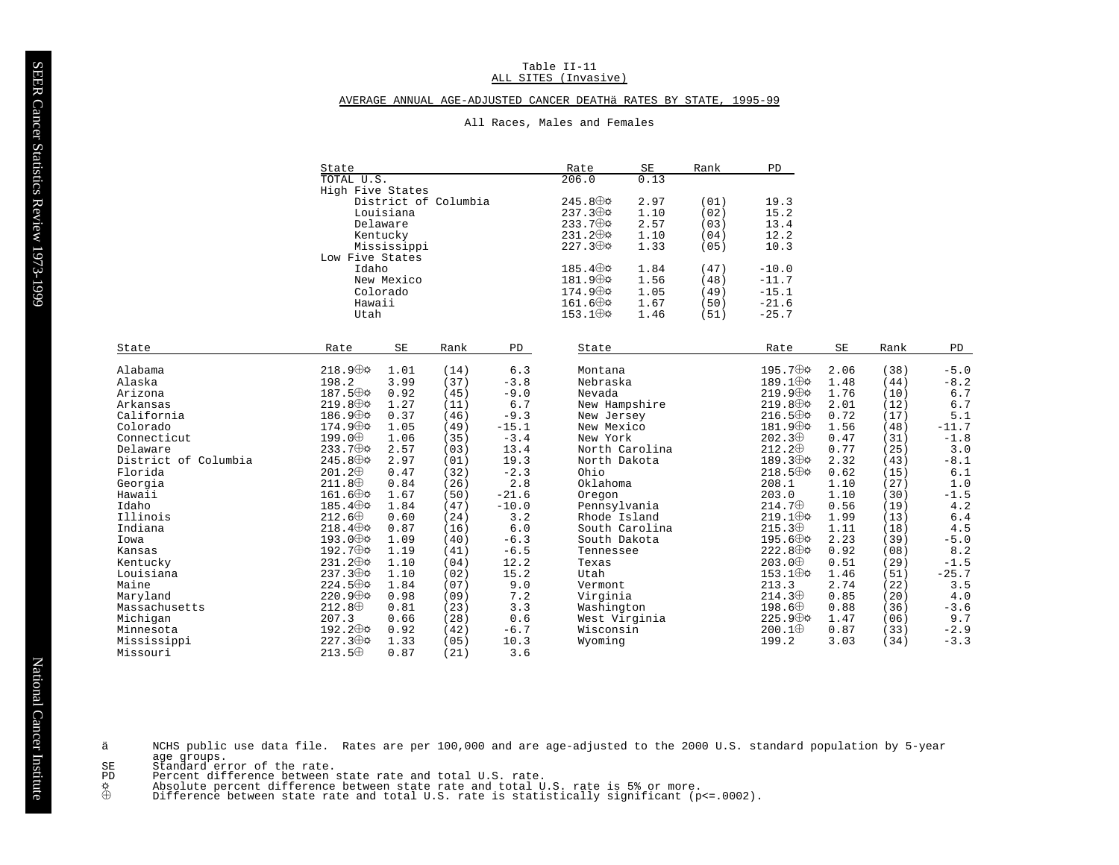#### Table II-11 ALL SITES (Invasive)

## AVERAGE ANNUAL AGE-ADJUSTED CANCER DEATHÄ RATES BY STATE, 1995-99

|                      | State                       |                     |                      |         | Rate                     | SE             | Rank | PD                       |      |      |         |
|----------------------|-----------------------------|---------------------|----------------------|---------|--------------------------|----------------|------|--------------------------|------|------|---------|
|                      | TOTAL U.S.                  |                     |                      |         | 206.0                    | 0.13           |      |                          |      |      |         |
|                      | High Five States            |                     |                      |         |                          |                |      |                          |      |      |         |
|                      |                             |                     | District of Columbia |         | $245.8 \oplus \emptyset$ | 2.97           | (01) | 19.3                     |      |      |         |
|                      |                             | Louisiana           |                      |         | $237.3 \oplus \phi$      | 1.10           | (02) | 15.2                     |      |      |         |
|                      |                             | Delaware            |                      |         | $233.7 \oplus \varphi$   | 2.57           | (03) | 13.4                     |      |      |         |
|                      |                             | Kentucky            |                      |         | $231.2 \oplus \Phi$      | 1.10           | (04) | 12.2                     |      |      |         |
|                      |                             | Mississippi         |                      |         | $227.3 \oplus \phi$      | 1.33           | (05) | 10.3                     |      |      |         |
|                      | Low Five States             |                     |                      |         |                          |                |      |                          |      |      |         |
|                      | Idaho                       |                     |                      |         | $185.4 \oplus \circ$     | 1.84           | (47) | $-10.0$                  |      |      |         |
|                      |                             | New Mexico          |                      |         | $181.9 \oplus \phi$      | 1.56           | (48) | $-11.7$                  |      |      |         |
|                      |                             | Colorado            |                      |         | $174.9 \oplus \phi$      | 1.05           | (49) | $-15.1$                  |      |      |         |
|                      | Hawaii                      |                     |                      |         | $161.6 \oplus \phi$      | 1.67           | (50) | $-21.6$                  |      |      |         |
|                      | Utah                        |                     |                      |         | $153.1 \oplus \upphi$    | 1.46           | (51) | $-25.7$                  |      |      |         |
|                      |                             | $\operatorname{SE}$ |                      |         |                          |                |      | Rate                     | SE   | Rank |         |
| State                | Rate                        |                     | Rank                 | PD      | State                    |                |      |                          |      |      | PD      |
| Alabama              | $218.9 \oplus \upphi$       | 1.01                | (14)                 | 6.3     | Montana                  |                |      | 195.7⊕ $\phi$            | 2.06 | (38) | $-5.0$  |
| Alaska               | 198.2                       | 3.99                | (37)                 | $-3.8$  | Nebraska                 |                |      | 189.1⊕⊅                  | 1.48 | (44) | $-8.2$  |
| Arizona              | 187.5 ⊕⇔                    | 0.92                | (45)                 | $-9.0$  | Nevada                   |                |      | $219.9 \oplus \phi$      | 1.76 | (10) | 6.7     |
| Arkansas             | $219.8 \oplus \Phi$         | 1.27                | (11)                 | 6.7     | New Hampshire            |                |      | $219.8 \oplus \Phi$      | 2.01 | (12) | $6.7$   |
| California           | $186.9 \oplus \mathfrak{d}$ | 0.37                | (46)                 | $-9.3$  | New Jersey               |                |      | $216.5 \oplus \Phi$      | 0.72 | (17) | 5.1     |
| Colorado             | $174.9 \oplus \circ$        | 1.05                | (49)                 | $-15.1$ | New Mexico               |                |      | 181.9⊕☆                  | 1.56 | (48) | $-11.7$ |
| Connecticut          | 199.0⊕                      | 1.06                | (35)                 | $-3.4$  | New York                 |                |      | $202.3 \oplus$           | 0.47 | (31) | $-1.8$  |
| Delaware             | $233.7 \oplus \phi$         | 2.57                | (03)                 | 13.4    | North Carolina           |                |      | $212.2 \oplus$           | 0.77 | (25) | 3.0     |
| District of Columbia | $245.8 \oplus \phi$         | 2.97                | (01)                 | 19.3    | North Dakota             |                |      | 189.3⊕¢                  | 2.32 | (43) | $-8.1$  |
| Florida              | $201.2 \oplus$              | 0.47                | (32)                 | $-2.3$  | Ohio                     |                |      | $218.5 \oplus \Phi$      | 0.62 | (15) | 6.1     |
| Georgia              | $211.8 \oplus$              | 0.84                | (26)                 | 2.8     | Oklahoma                 |                |      | 208.1                    | 1.10 | (27) | 1.0     |
| Hawaii               | $161.6 \oplus \Phi$         | 1.67                | (50)                 | $-21.6$ | Oregon                   |                |      | 203.0                    | 1.10 | (30) | $-1.5$  |
| Idaho                | $185.4 \oplus \phi$         | 1.84                | (47)                 | $-10.0$ | Pennsylvania             |                |      | $214.7 \oplus$           | 0.56 | (19) | 4.2     |
| Illinois             | $212.6 \oplus$              | 0.60                | (24)                 | 3.2     | Rhode Island             |                |      | $219.1 \oplus \emptyset$ | 1.99 | (13) | $6.4$   |
| Indiana              | $218.4 \oplus \Phi$         | 0.87                | (16)                 | 6.0     |                          | South Carolina |      | $215.3 \oplus$           | 1.11 | (18) | 4.5     |
| Iowa                 | $193.0 \oplus \phi$         | 1.09                | (40)                 | $-6.3$  | South Dakota             |                |      | $195.6 \oplus \Phi$      | 2.23 | (39) | $-5.0$  |
| Kansas               | $192.7 \oplus \Phi$         | 1.19                | (41)                 | $-6.5$  | Tennessee                |                |      | 222.8 ⊕ $\phi$           | 0.92 | (08) | 8.2     |
| Kentucky             | $231.2 \oplus \Phi$         | 1.10                | (04)                 | 12.2    | Texas                    |                |      | $203.0 \oplus$           | 0.51 | (29) | $-1.5$  |
| Louisiana            | $237.3 \oplus \phi$         | 1.10                | (02)                 | 15.2    | Utah                     |                |      | $153.1 \oplus \Phi$      | 1.46 | (51) | $-25.7$ |
| Maine                | $224.5 \oplus \emptyset$    | 1.84                | (07)                 | 9.0     | Vermont                  |                |      | 213.3                    | 2.74 | (22) | 3.5     |
| Maryland             | $220.9 \oplus \phi$         | 0.98                | (09)                 | 7.2     | Virginia                 |                |      | $214.3 \oplus$           | 0.85 | (20) | 4.0     |
| Massachusetts        | $212.8 \oplus$              | 0.81                | (23)                 | 3.3     | Washington               |                |      | 198.6 <sup>0</sup>       | 0.88 | (36) | $-3.6$  |
| Michigan             | 207.3                       | 0.66                | (28)                 | 0.6     | West Virginia            |                |      | $225.9 \oplus \phi$      | 1.47 | (06) | 9.7     |
| Minnesota            | 192.2 $\oplus \varphi$      | 0.92                | (42)                 | $-6.7$  | Wisconsin                |                |      | $200.1 \oplus$           | 0.87 | (33) | $-2.9$  |
| Mississippi          | $227.3 \oplus \phi$         | 1.33                | (05)                 | 10.3    | Wyoming                  |                |      | 199.2                    | 3.03 | (34) | $-3.3$  |

# All Races, Males and Females

 $3.6$ 

Missouri

- $\overline{PD}$
- $\overset{\mathsf{\tiny \textsf{o}}}{\oplus}$

 $213.5 \oplus 0.87$  (21)

age groups.<br>Standard error of the rate.<br>Percent difference between state rate and total U.S. rate.<br>Absolute percent difference between state rate and total U.S. rate is 5% or more.<br>Difference between state rate and total U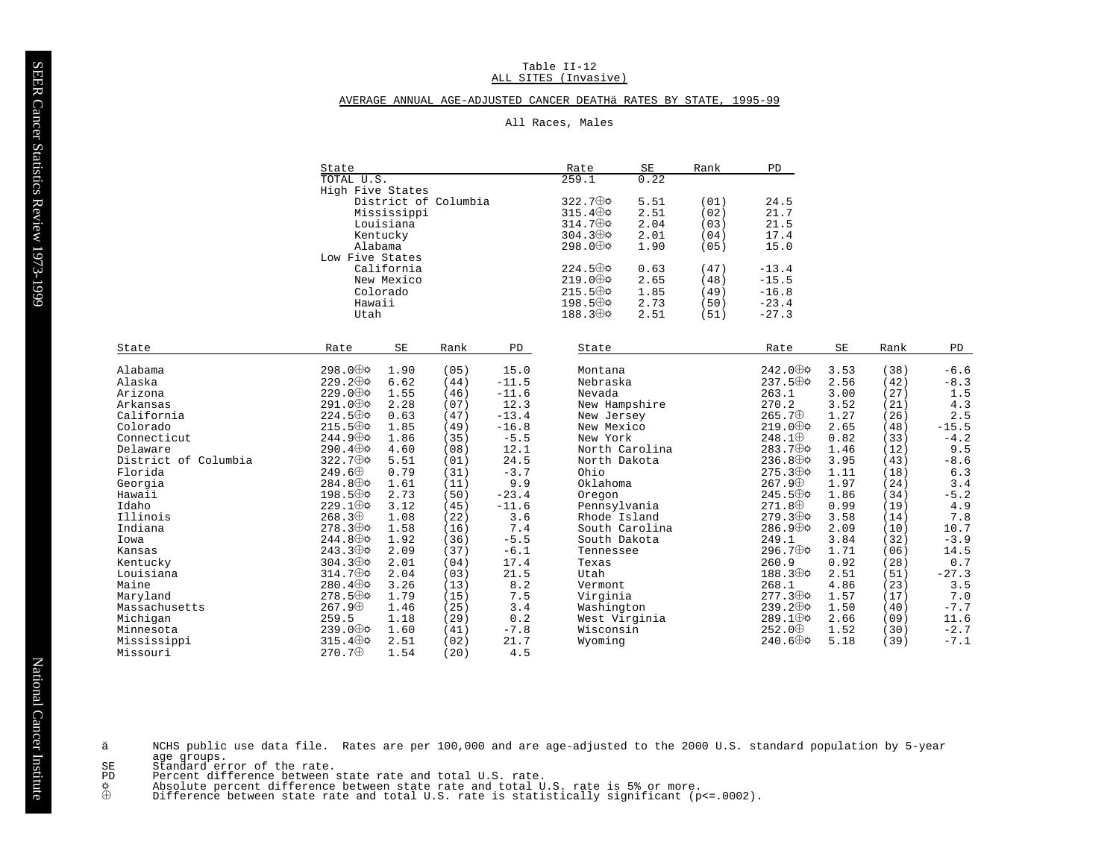#### Table II-12 ALL SITES (Invasive)

## AVERAGE ANNUAL AGE-ADJUSTED CANCER DEATHÄ RATES BY STATE, 1995-99

# All Races, Males

|                      | State                    |             |                      |         | Rate                     | $\operatorname{SE}$ | Rank | PD                       |      |      |         |
|----------------------|--------------------------|-------------|----------------------|---------|--------------------------|---------------------|------|--------------------------|------|------|---------|
|                      | TOTAL U.S.               |             |                      |         | 259.1                    | 0.22                |      |                          |      |      |         |
|                      | High Five States         |             |                      |         |                          |                     |      |                          |      |      |         |
|                      |                          |             | District of Columbia |         | 322.7⊕¢                  | 5.51                | (01) | 24.5                     |      |      |         |
|                      |                          | Mississippi |                      |         | $315.4 \oplus \emptyset$ | 2.51                | (02) | 21.7                     |      |      |         |
|                      |                          | Louisiana   |                      |         | $314.7 \oplus \emptyset$ | 2.04                | (03) | 21.5                     |      |      |         |
|                      |                          | Kentucky    |                      |         | $304.3 \oplus \phi$      | 2.01                | (04) | 17.4                     |      |      |         |
|                      | Alabama                  |             |                      |         | 298.0 ⊕⇔                 | 1.90                | (05) | 15.0                     |      |      |         |
|                      | Low Five States          |             |                      |         |                          |                     |      |                          |      |      |         |
|                      |                          | California  |                      |         | $224.5 \oplus \emptyset$ | 0.63                | (47) | $-13.4$                  |      |      |         |
|                      |                          | New Mexico  |                      |         | $219.0 \oplus \Phi$      | 2.65                | (48) | $-15.5$                  |      |      |         |
|                      |                          | Colorado    |                      |         | $215.5 \oplus \phi$      | 1.85                | (49) | $-16.8$                  |      |      |         |
|                      | Hawaii                   |             |                      |         | $198.5 \oplus \emptyset$ | 2.73                | (50) | $-23.4$                  |      |      |         |
|                      | Utah                     |             |                      |         | $188.3 \oplus \phi$      | 2.51                | (51) | $-27.3$                  |      |      |         |
|                      |                          |             |                      |         |                          |                     |      |                          |      |      |         |
| State                | Rate                     | SE          | Rank                 | PD      | State                    |                     |      | Rate                     | SE   | Rank | PD      |
|                      |                          |             |                      |         |                          |                     |      |                          |      |      |         |
| Alabama              | 298.0 ⊕⇔                 | 1.90        | (05)                 | 15.0    | Montana                  |                     |      | $242.0 \oplus \phi$      | 3.53 | (38) | $-6.6$  |
| Alaska               | $229.2 \oplus \Phi$      | 6.62        | (44)                 | $-11.5$ | Nebraska                 |                     |      | 237.5⊕¢                  | 2.56 | (42) | $-8.3$  |
| Arizona              | 229.0 $\oplus$           | 1.55        | (46)                 | $-11.6$ | Nevada                   |                     |      | 263.1                    | 3.00 | (27) | 1.5     |
| Arkansas             | 291.0 ⊕⇔                 | 2.28        | (07)                 | 12.3    | New Hampshire            |                     |      | 270.2                    | 3.52 | (21) | 4.3     |
| California           | $224.5 \oplus \Phi$      | 0.63        | (47)                 | $-13.4$ | New Jersey               |                     |      | $265.7 \oplus$           | 1.27 | (26) | $2.5$   |
| Colorado             | $215.5 \oplus \phi$      | 1.85        | (49)                 | $-16.8$ | New Mexico               |                     |      | $219.0 \nleftrightarrow$ | 2.65 | (48) | $-15.5$ |
| Connecticut          | $244.9 \oplus \phi$      | 1.86        | (35)                 | $-5.5$  | New York                 |                     |      | $248.1 \oplus$           | 0.82 | (33) | $-4.2$  |
| Delaware             | $290.4 \oplus \Phi$      | 4.60        | (08)                 | 12.1    |                          | North Carolina      |      | $283.7 \oplus \Phi$      | 1.46 | (12) | 9.5     |
| District of Columbia | $322.7 \oplus \phi$      | 5.51        | (01)                 | 24.5    | North Dakota             |                     |      | $236.8 \oplus \phi$      | 3.95 | (43) | $-8.6$  |
| Florida              | $249.6 \oplus$           | 0.79        | (31)                 | $-3.7$  | Ohio                     |                     |      | $275.3 \oplus \phi$      | 1.11 | (18) | 6.3     |
| Georgia              | $284.8 \oplus \phi$      | 1.61        | (11)                 | 9.9     | Oklahoma                 |                     |      | $267.9 \oplus$           | 1.97 | (24) | 3.4     |
| Hawaii               | 198.5 ⊕¢                 | 2.73        | (50)                 | $-23.4$ | Oregon                   |                     |      | $245.5 \oplus \phi$      | 1.86 | (34) | $-5.2$  |
| Idaho                | $229.1 \oplus \phi$      | 3.12        | (45)                 | $-11.6$ | Pennsylvania             |                     |      | $271.8 \oplus$           | 0.99 | (19) | 4.9     |
| Illinois             | $268.3 \oplus$           | 1.08        | (22)                 | 3.6     | Rhode Island             |                     |      | $279.3 \oplus \Phi$      | 3.58 | (14) | 7.8     |
| Indiana              | $278.3 \oplus \phi$      | 1.58        | (16)                 | 7.4     |                          | South Carolina      |      | $286.9 \oplus \Phi$      | 2.09 | (10) | 10.7    |
| Iowa                 | 244.8 $\oplus$           | 1.92        | (36)                 | $-5.5$  | South Dakota             |                     |      | 249.1                    | 3.84 | (32) | $-3.9$  |
| Kansas               | $243.3 \oplus \phi$      | 2.09        | (37)                 | $-6.1$  | Tennessee                |                     |      | 296.7⊕¢                  | 1.71 | (06) | 14.5    |
| Kentucky             | $304.3 \oplus \phi$      | 2.01        | (04)                 | 17.4    | Texas                    |                     |      | 260.9                    | 0.92 | (28) | 0.7     |
| Louisiana            | $314.7 \oplus \emptyset$ | 2.04        | (03)                 | 21.5    | Utah                     |                     |      | 188.3⊕¢                  | 2.51 | (51) | $-27.3$ |
| Maine                | $280.4 \oplus \phi$      | 3.26        | (13)                 | 8.2     | Vermont                  |                     |      | 268.1                    | 4.86 | (23) | 3.5     |
| Maryland             | $278.5 \oplus \Phi$      | 1.79        | (15)                 | 7.5     | Virginia                 |                     |      | $277.3 \oplus \phi$      | 1.57 | (17) | 7.0     |
| Massachusetts        | $267.9 \oplus$           | 1.46        | (25)                 | 3.4     | Washington               |                     |      | $239.2 \oplus \phi$      | 1.50 | (40) | $-7.7$  |
| Michigan             | 259.5                    | 1.18        | (29)                 | 0.2     | West Virginia            |                     |      | $289.1 \oplus \phi$      | 2.66 | (09) | 11.6    |
| Minnesota            | $239.0 \oplus \Phi$      | 1.60        | (41)                 | $-7.8$  | Wisconsin                |                     |      | $252.0 \oplus$           | 1.52 | (30) | $-2.7$  |
| Mississippi          | $315.4 \oplus \Phi$      | 2.51        | (02)                 | 21.7    | Wyoming                  |                     |      | $240.6 \oplus \Phi$      | 5.18 | (39) | $-7.1$  |
| Missouri             | 270.7⊕                   | 1.54        | (20)                 | 4.5     |                          |                     |      |                          |      |      |         |
|                      |                          |             |                      |         |                          |                     |      |                          |      |      |         |

- NCHS public use data file. Rates are per 100,000 and are age-adjusted to the 2000 U.S. standard population by 5-year<br>age groups. ä
- $\operatorname{SE}$
- $\overline{PD}$
- $\overset{\mathsf{\tiny\textsf{Q}}}{\oplus}$
- aye yroups.<br>Standard error of the rate.<br>Percent difference between state rate and total U.S. rate.<br>Absolute percent difference between state rate and total U.S. rate is 5% or more.<br>Difference between state rate and total U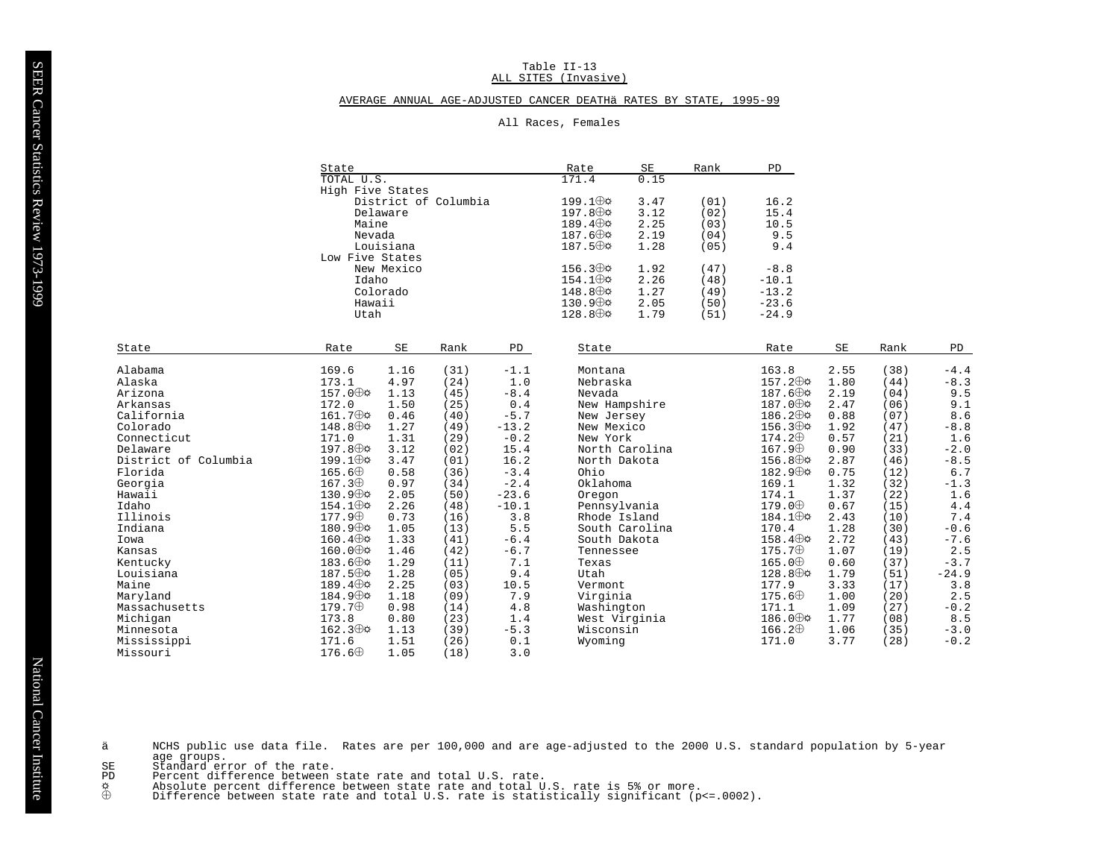## Table II-13 ALL SITES (Invasive)

## AVERAGE ANNUAL AGE-ADJUSTED CANCER DEATHÄ RATES BY STATE, 1995-99

|  | All Races, | Females |
|--|------------|---------|
|--|------------|---------|

|                      | State<br>TOTAL U.S.   |                     |                      | Rate    | SE                          | Rank           | PD   |                     |                     |              |               |  |
|----------------------|-----------------------|---------------------|----------------------|---------|-----------------------------|----------------|------|---------------------|---------------------|--------------|---------------|--|
|                      |                       |                     |                      | 171.4   | 0.15                        |                |      |                     |                     |              |               |  |
|                      | High Five States      |                     |                      |         |                             |                |      |                     |                     |              |               |  |
|                      |                       |                     | District of Columbia |         | $199.1 \oplus \Phi$         | 3.47           | (01) | 16.2                |                     |              |               |  |
|                      |                       | Delaware            |                      |         | $197.8 \oplus \mathfrak{p}$ | 3.12           | (02) | 15.4                |                     |              |               |  |
|                      | Maine                 |                     |                      |         | 189.4 $\oplus$              | 2.25           | (03) | 10.5                |                     |              |               |  |
|                      | Nevada                |                     |                      |         | $187.6 \oplus \Phi$         | 2.19           | (04) | 9.5                 |                     |              |               |  |
|                      |                       | Louisiana           |                      |         | $187.5 \oplus \mathfrak{D}$ | 1.28           | (05) | 9.4                 |                     |              |               |  |
|                      | Low Five States       |                     |                      |         |                             |                |      |                     |                     |              |               |  |
|                      |                       | New Mexico          |                      |         | $156.3 \oplus \alpha$       | 1.92           | (47) | $-8.8$              |                     |              |               |  |
|                      | Idaho                 |                     |                      |         | $154.1 \oplus \emptyset$    | 2.26           | (48) | $-10.1$             |                     |              |               |  |
|                      |                       | Colorado            |                      |         | $148.8 \oplus \Phi$         | 1.27           | (49) | $-13.2$             |                     |              |               |  |
|                      | Hawaii                |                     |                      |         | $130.9 \oplus \Phi$         | 2.05           | (50) | $-23.6$             |                     |              |               |  |
|                      | Utah                  |                     |                      |         | $128.8 \oplus \mathcal{A}$  | 1.79           | (51) | $-24.9$             |                     |              |               |  |
|                      |                       |                     |                      |         |                             |                |      |                     |                     |              |               |  |
| State                | Rate                  | $\operatorname{SE}$ | Rank                 | PD      | State                       |                |      | Rate                | $\operatorname{SE}$ | Rank         | PD            |  |
| Alabama              | 169.6                 | 1.16                | (31)                 | $-1.1$  | Montana                     |                |      | 163.8               | 2.55                | (38)         | $-4.4$        |  |
| Alaska               | 173.1                 | 4.97                | (24)                 | 1.0     | Nebraska                    |                |      | $157.2 \oplus \phi$ | 1.80                | (44)         | $-8.3$        |  |
| Arizona              | $157.0 \oplus \Phi$   | 1.13                | (45)                 | $-8.4$  | Nevada                      |                |      | $187.6 \oplus \Phi$ | 2.19                | (04)         | 9.5           |  |
| Arkansas             | 172.0                 | 1.50                | (25)                 | 0.4     | New Hampshire               |                |      | 187.0 ⊕⇔            | 2.47                | (06)         | 9.1           |  |
| California           | $161.7 \oplus \Phi$   | 0.46                | (40)                 | $-5.7$  | New Jersey                  |                |      | $186.2 \oplus \phi$ | 0.88                | (07)         | 8.6           |  |
| Colorado             | $148.8 \oplus \Phi$   | 1.27                | (49)                 | $-13.2$ | New Mexico                  |                |      | $156.3 \oplus \Phi$ | 1.92                | (47)         | $-8.8$        |  |
| Connecticut          | 171.0                 | 1.31                |                      | $-0.2$  | New York                    |                |      | $174.2 \oplus$      | 0.57                |              | 1.6           |  |
| Delaware             | $197.8 \oplus \phi$   | 3.12                | (29)<br>(02)         | 15.4    |                             | North Carolina |      | $167.9 \oplus$      | 0.90                | (21)<br>(33) | $-2.0$        |  |
|                      | $199.1 \oplus \phi$   | 3.47                |                      |         |                             |                |      | $156.8 \oplus \phi$ | 2.87                |              |               |  |
| District of Columbia | $165.6 \oplus$        |                     | (01)                 | 16.2    | North Dakota                |                |      | 182.9⊕¢             |                     | (46)         | $-8.5$<br>6.7 |  |
| Florida              | 167.3 <sup>opl</sup>  | 0.58                | (36)                 | $-3.4$  | Ohio                        |                |      |                     | 0.75                | (12)         |               |  |
| Georgia              | $130.9 \oplus \phi$   | 0.97                | (34)                 | $-2.4$  | Oklahoma                    |                |      | 169.1               | 1.32                | (32)         | $-1.3$        |  |
| Hawaii               |                       | 2.05                | (50)                 | $-23.6$ | Oregon                      |                |      | 174.1               | 1.37                | (22)         | 1.6           |  |
| Idaho                | $154.1 \oplus \upphi$ | 2.26                | (48)                 | $-10.1$ | Pennsylvania                |                |      | $179.0 \oplus$      | 0.67                | (15)         | 4.4           |  |
| Illinois             | $177.9 \oplus$        | 0.73                | (16)                 | 3.8     | Rhode Island                |                |      | $184.1 \oplus \phi$ | 2.43                | (10)         | 7.4           |  |
| Indiana              | $180.9 \oplus \phi$   | 1.05                | (13)                 | 5.5     |                             | South Carolina |      | 170.4               | 1.28                | (30)         | $-0.6$        |  |
| Iowa                 | $160.4 \oplus \Phi$   | 1.33                | (41)                 | $-6.4$  | South Dakota                |                |      | $158.4 \oplus \Phi$ | 2.72                | (43)         | $-7.6$        |  |
| Kansas               | $160.0 \oplus \Phi$   | 1.46                | (42)                 | $-6.7$  | Tennessee                   |                |      | $175.7 \oplus$      | 1.07                | (19)         | 2.5           |  |
| Kentucky             | $183.6 \oplus \Phi$   | 1.29                | (11)                 | 7.1     | Texas                       |                |      | $165.0 \oplus$      | 0.60                | (37)         | $-3.7$        |  |
| Louisiana            | $187.5 \oplus \phi$   | 1.28                | (05)                 | 9.4     | Utah                        |                |      | $128.8 \oplus \Phi$ | 1.79                | (51)         | $-24.9$       |  |
| Maine                | $189.4 \oplus \Phi$   | 2.25                | (03)                 | 10.5    | Vermont                     |                |      | 177.9               | 3.33                | (17)         | 3.8           |  |
| Maryland             | 184.9⊕≎               | 1.18                | (09)                 | 7.9     | Virginia                    |                |      | $175.6\oplus$       | 1.00                | (20)         | 2.5           |  |
| Massachusetts        | $179.7 \oplus$        | 0.98                | (14)                 | 4.8     | Washington                  |                |      | 171.1               | 1.09                | (27)         | $-0.2$        |  |
| Michiqan             | 173.8                 | 0.80                | (23)                 | 1.4     | West Virginia               |                |      | $186.0 \oplus \Phi$ | 1.77                | (08)         | 8.5           |  |
| Minnesota            | $162.3 \oplus \upphi$ | 1.13                | (39)                 | $-5.3$  | Wisconsin                   |                |      | $166.2\oplus$       | 1.06                | (35)         | $-3.0$        |  |
| Mississippi          | 171.6                 | 1.51                | (26)                 | 0.1     | Wyoming                     |                |      | 171.0               | 3.77                | (28)         | $-0.2$        |  |
| Missouri             | $176.6 \oplus$        | 1.05                | (18)                 | 3.0     |                             |                |      |                     |                     |              |               |  |

- NCHS public use data file. Rates are per 100,000 and are age-adjusted to the 2000 U.S. standard population by 5-year<br>age groups. ä
	-
- $_{\rm\bf PD}^{\rm\bf SE}$
- dye yroups.<br>Standard error of the rate.<br>Percent difference between state rate and total U.S. rate.<br>Absolute percent difference between state rate and total U.S. rate is 5% or more.<br>Difference between state rate and total U  $\overset{\mathsf{\tiny\textsf{Q}}}{\oplus}$ 
	-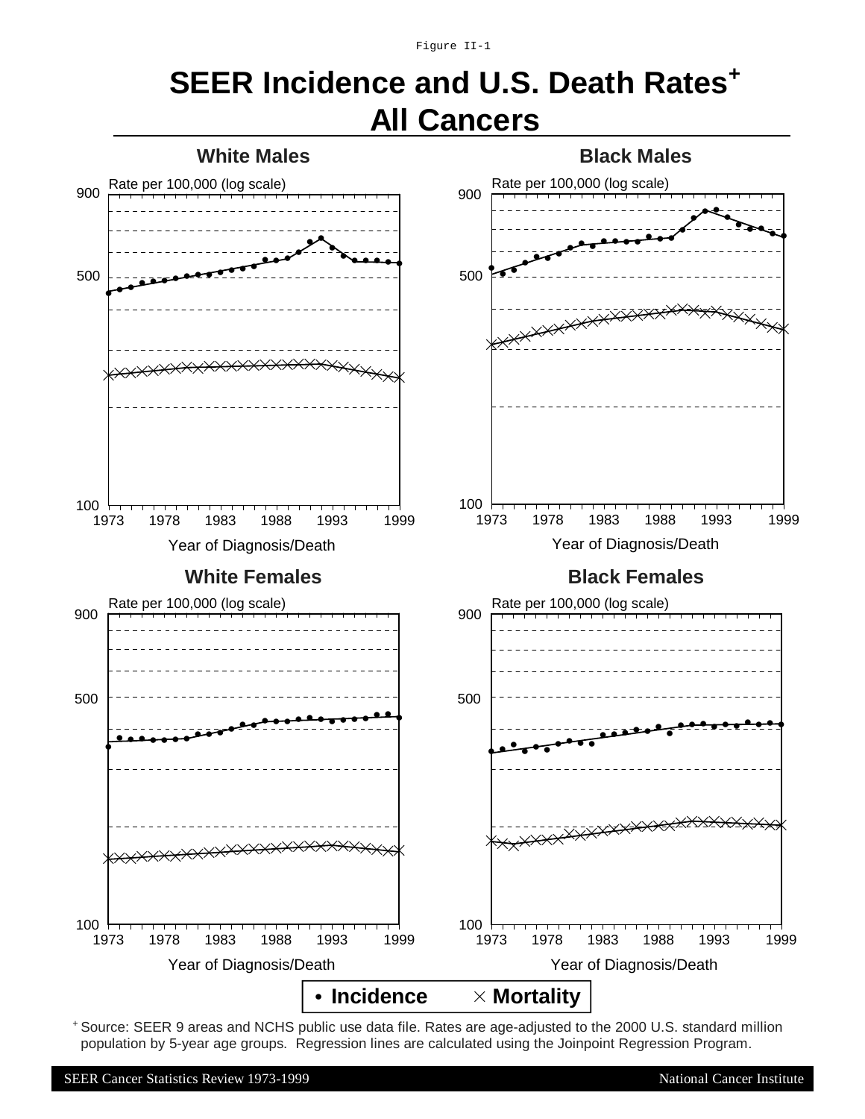Figure II-1

# **SEER Incidence and U.S. Death Rates<sup>+</sup> All Cancers**



+ Source: SEER 9 areas and NCHS public use data file. Rates are age-adjusted to the 2000 U.S. standard million population by 5-year age groups. Regression lines are calculated using the Joinpoint Regression Program.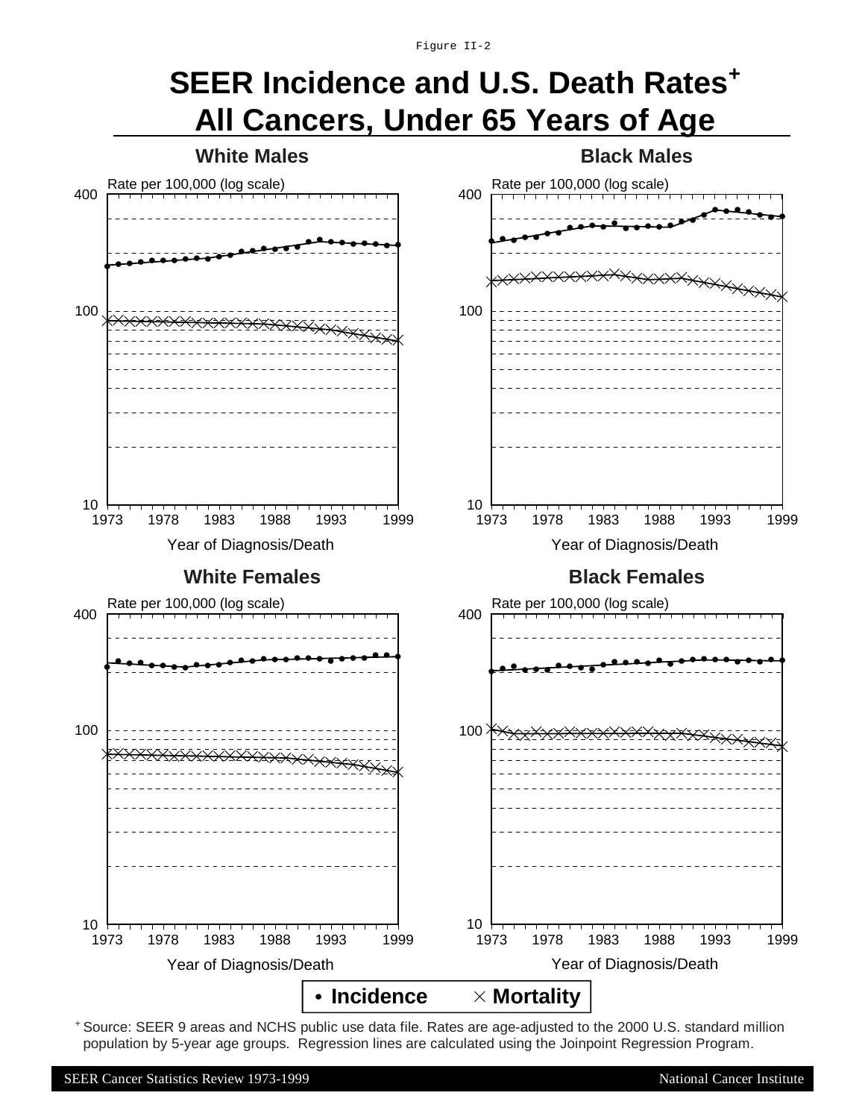Figure II-2

# **SEER Incidence and U.S. Death Rates<sup>+</sup> All Cancers, Under 65 Years of Age**



+ Source: SEER 9 areas and NCHS public use data file. Rates are age-adjusted to the 2000 U.S. standard million population by 5-year age groups. Regression lines are calculated using the Joinpoint Regression Program.